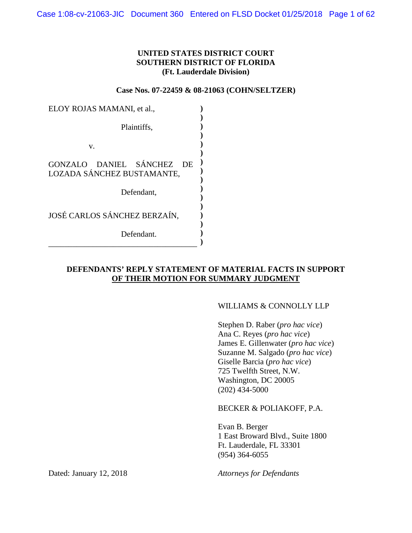## **UNITED STATES DISTRICT COURT SOUTHERN DISTRICT OF FLORIDA (Ft. Lauderdale Division)**

**Case Nos. 07-22459 & 08-21063 (COHN/SELTZER)**

| ELOY ROJAS MAMANI, et al.,                                        |  |
|-------------------------------------------------------------------|--|
| Plaintiffs.                                                       |  |
| v.                                                                |  |
| GONZALO DANIEL SÁNCHEZ<br><b>DE</b><br>LOZADA SÁNCHEZ BUSTAMANTE, |  |
| Defendant,                                                        |  |
| JOSÉ CARLOS SÁNCHEZ BERZAÍN,                                      |  |
| Defendant.                                                        |  |

# **DEFENDANTS' REPLY STATEMENT OF MATERIAL FACTS IN SUPPORT OF THEIR MOTION FOR SUMMARY JUDGMENT**

### WILLIAMS & CONNOLLY LLP

Stephen D. Raber (*pro hac vice*) Ana C. Reyes (*pro hac vice*) James E. Gillenwater (*pro hac vice*) Suzanne M. Salgado (*pro hac vice*) Giselle Barcia (*pro hac vice*) 725 Twelfth Street, N.W. Washington, DC 20005 (202) 434-5000

BECKER & POLIAKOFF, P.A.

Evan B. Berger 1 East Broward Blvd., Suite 1800 Ft. Lauderdale, FL 33301 (954) 364-6055

Dated: January 12, 2018 *Attorneys for Defendants*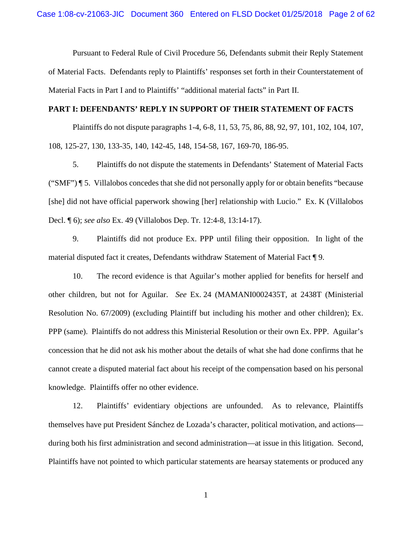Pursuant to Federal Rule of Civil Procedure 56, Defendants submit their Reply Statement of Material Facts. Defendants reply to Plaintiffs' responses set forth in their Counterstatement of Material Facts in Part I and to Plaintiffs' "additional material facts" in Part II.

#### **PART I: DEFENDANTS' REPLY IN SUPPORT OF THEIR STATEMENT OF FACTS**

Plaintiffs do not dispute paragraphs 1-4, 6-8, 11, 53, 75, 86, 88, 92, 97, 101, 102, 104, 107, 108, 125-27, 130, 133-35, 140, 142-45, 148, 154-58, 167, 169-70, 186-95.

5. Plaintiffs do not dispute the statements in Defendants' Statement of Material Facts ("SMF") ¶ 5. Villalobos concedes that she did not personally apply for or obtain benefits "because [she] did not have official paperwork showing [her] relationship with Lucio." Ex. K (Villalobos Decl. ¶ 6); *see also* Ex. 49 (Villalobos Dep. Tr. 12:4-8, 13:14-17).

9. Plaintiffs did not produce Ex. PPP until filing their opposition. In light of the material disputed fact it creates, Defendants withdraw Statement of Material Fact ¶ 9.

10. The record evidence is that Aguilar's mother applied for benefits for herself and other children, but not for Aguilar. *See* Ex. 24 (MAMANI0002435T, at 2438T (Ministerial Resolution No. 67/2009) (excluding Plaintiff but including his mother and other children); Ex. PPP (same). Plaintiffs do not address this Ministerial Resolution or their own Ex. PPP. Aguilar's concession that he did not ask his mother about the details of what she had done confirms that he cannot create a disputed material fact about his receipt of the compensation based on his personal knowledge. Plaintiffs offer no other evidence.

12. Plaintiffs' evidentiary objections are unfounded. As to relevance, Plaintiffs themselves have put President Sánchez de Lozada's character, political motivation, and actions during both his first administration and second administration—at issue in this litigation. Second, Plaintiffs have not pointed to which particular statements are hearsay statements or produced any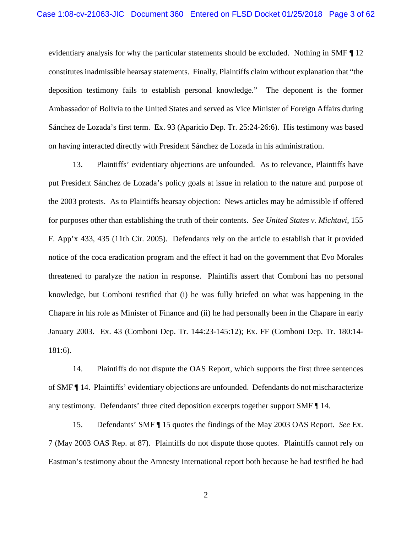evidentiary analysis for why the particular statements should be excluded. Nothing in SMF ¶ 12 constitutes inadmissible hearsay statements. Finally, Plaintiffs claim without explanation that "the deposition testimony fails to establish personal knowledge." The deponent is the former Ambassador of Bolivia to the United States and served as Vice Minister of Foreign Affairs during Sánchez de Lozada's first term. Ex. 93 (Aparicio Dep. Tr. 25:24-26:6). His testimony was based on having interacted directly with President Sánchez de Lozada in his administration.

13. Plaintiffs' evidentiary objections are unfounded. As to relevance, Plaintiffs have put President Sánchez de Lozada's policy goals at issue in relation to the nature and purpose of the 2003 protests. As to Plaintiffs hearsay objection: News articles may be admissible if offered for purposes other than establishing the truth of their contents. *See United States v. Michtavi*, 155 F. App'x 433, 435 (11th Cir. 2005). Defendants rely on the article to establish that it provided notice of the coca eradication program and the effect it had on the government that Evo Morales threatened to paralyze the nation in response. Plaintiffs assert that Comboni has no personal knowledge, but Comboni testified that (i) he was fully briefed on what was happening in the Chapare in his role as Minister of Finance and (ii) he had personally been in the Chapare in early January 2003. Ex. 43 (Comboni Dep. Tr. 144:23-145:12); Ex. FF (Comboni Dep. Tr. 180:14- 181:6).

14. Plaintiffs do not dispute the OAS Report, which supports the first three sentences of SMF ¶ 14. Plaintiffs' evidentiary objections are unfounded. Defendants do not mischaracterize any testimony. Defendants' three cited deposition excerpts together support SMF ¶ 14.

15. Defendants' SMF ¶ 15 quotes the findings of the May 2003 OAS Report. *See* Ex. 7 (May 2003 OAS Rep. at 87). Plaintiffs do not dispute those quotes. Plaintiffs cannot rely on Eastman's testimony about the Amnesty International report both because he had testified he had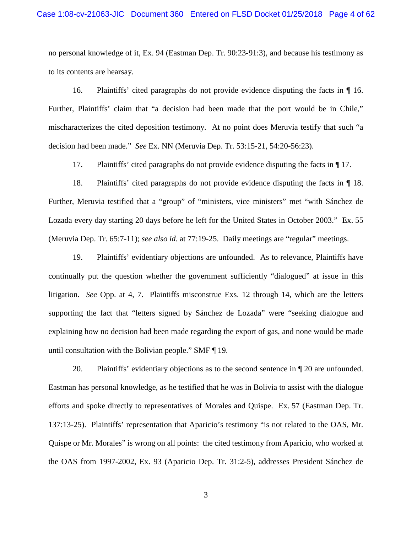no personal knowledge of it, Ex. 94 (Eastman Dep. Tr. 90:23-91:3), and because his testimony as to its contents are hearsay.

16. Plaintiffs' cited paragraphs do not provide evidence disputing the facts in ¶ 16. Further, Plaintiffs' claim that "a decision had been made that the port would be in Chile," mischaracterizes the cited deposition testimony. At no point does Meruvia testify that such "a decision had been made." *See* Ex. NN (Meruvia Dep. Tr. 53:15-21, 54:20-56:23).

17. Plaintiffs' cited paragraphs do not provide evidence disputing the facts in ¶ 17.

18. Plaintiffs' cited paragraphs do not provide evidence disputing the facts in ¶ 18. Further, Meruvia testified that a "group" of "ministers, vice ministers" met "with Sánchez de Lozada every day starting 20 days before he left for the United States in October 2003." Ex. 55 (Meruvia Dep. Tr. 65:7-11); *see also id.* at 77:19-25. Daily meetings are "regular" meetings.

19. Plaintiffs' evidentiary objections are unfounded. As to relevance, Plaintiffs have continually put the question whether the government sufficiently "dialogued" at issue in this litigation. *See* Opp. at 4, 7. Plaintiffs misconstrue Exs. 12 through 14, which are the letters supporting the fact that "letters signed by Sánchez de Lozada" were "seeking dialogue and explaining how no decision had been made regarding the export of gas, and none would be made until consultation with the Bolivian people." SMF ¶ 19.

20. Plaintiffs' evidentiary objections as to the second sentence in ¶ 20 are unfounded. Eastman has personal knowledge, as he testified that he was in Bolivia to assist with the dialogue efforts and spoke directly to representatives of Morales and Quispe. Ex. 57 (Eastman Dep. Tr. 137:13-25). Plaintiffs' representation that Aparicio's testimony "is not related to the OAS, Mr. Quispe or Mr. Morales" is wrong on all points: the cited testimony from Aparicio, who worked at the OAS from 1997-2002, Ex. 93 (Aparicio Dep. Tr. 31:2-5), addresses President Sánchez de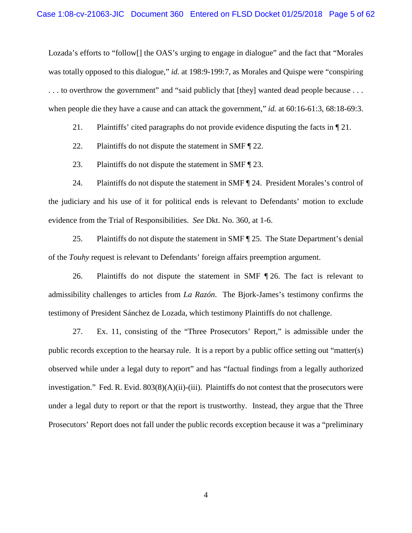Lozada's efforts to "follow[] the OAS's urging to engage in dialogue" and the fact that "Morales was totally opposed to this dialogue," *id.* at 198:9-199:7, as Morales and Quispe were "conspiring . . . to overthrow the government" and "said publicly that [they] wanted dead people because . . . when people die they have a cause and can attack the government," *id.* at 60:16-61:3, 68:18-69:3.

21. Plaintiffs' cited paragraphs do not provide evidence disputing the facts in ¶ 21.

22. Plaintiffs do not dispute the statement in SMF [22.

23. Plaintiffs do not dispute the statement in SMF ¶ 23.

24. Plaintiffs do not dispute the statement in SMF ¶ 24. President Morales's control of the judiciary and his use of it for political ends is relevant to Defendants' motion to exclude evidence from the Trial of Responsibilities. *See* Dkt. No. 360, at 1-6.

25. Plaintiffs do not dispute the statement in SMF ¶ 25. The State Department's denial of the *Touhy* request is relevant to Defendants' foreign affairs preemption argument.

26. Plaintiffs do not dispute the statement in SMF ¶ 26. The fact is relevant to admissibility challenges to articles from *La Razón*. The Bjork-James's testimony confirms the testimony of President Sánchez de Lozada, which testimony Plaintiffs do not challenge.

27. Ex. 11, consisting of the "Three Prosecutors' Report," is admissible under the public records exception to the hearsay rule. It is a report by a public office setting out "matter(s) observed while under a legal duty to report" and has "factual findings from a legally authorized investigation." Fed. R. Evid.  $803(8)(A)(ii)$ -(iii). Plaintiffs do not contest that the prosecutors were under a legal duty to report or that the report is trustworthy. Instead, they argue that the Three Prosecutors' Report does not fall under the public records exception because it was a "preliminary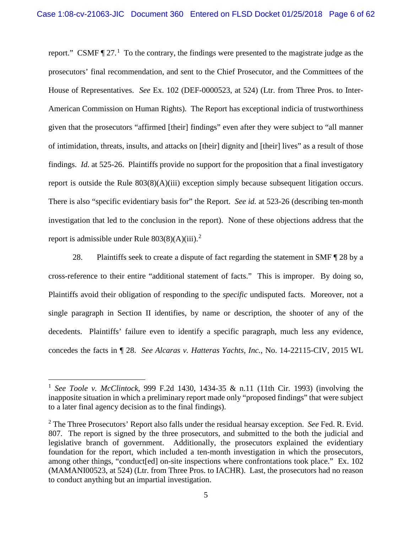report." CSMF  $\P$  27.<sup>1</sup> To the contrary, the findings were presented to the magistrate judge as the prosecutors' final recommendation, and sent to the Chief Prosecutor, and the Committees of the House of Representatives. *See* Ex. 102 (DEF-0000523, at 524) (Ltr. from Three Pros. to Inter-American Commission on Human Rights). The Report has exceptional indicia of trustworthiness given that the prosecutors "affirmed [their] findings" even after they were subject to "all manner of intimidation, threats, insults, and attacks on [their] dignity and [their] lives" as a result of those findings. *Id.* at 525-26. Plaintiffs provide no support for the proposition that a final investigatory report is outside the Rule 803(8)(A)(iii) exception simply because subsequent litigation occurs. There is also "specific evidentiary basis for" the Report. *See id.* at 523-26 (describing ten-month investigation that led to the conclusion in the report). None of these objections address that the report is admissible under Rule  $803(8)(A)(iii)$ .<sup>2</sup>

28. Plaintiffs seek to create a dispute of fact regarding the statement in SMF ¶ 28 by a cross-reference to their entire "additional statement of facts." This is improper. By doing so, Plaintiffs avoid their obligation of responding to the *specific* undisputed facts. Moreover, not a single paragraph in Section II identifies, by name or description, the shooter of any of the decedents. Plaintiffs' failure even to identify a specific paragraph, much less any evidence, concedes the facts in ¶ 28. *See Alcaras v. Hatteras Yachts, Inc.*, No. 14-22115-CIV, 2015 WL

 <sup>1</sup> *See Toole v. McClintock*, 999 F.2d 1430, 1434-35 & n.11 (11th Cir. 1993) (involving the inapposite situation in which a preliminary report made only "proposed findings" that were subject to a later final agency decision as to the final findings).

<sup>2</sup> The Three Prosecutors' Report also falls under the residual hearsay exception. *See* Fed. R. Evid. 807. The report is signed by the three prosecutors, and submitted to the both the judicial and legislative branch of government. Additionally, the prosecutors explained the evidentiary foundation for the report, which included a ten-month investigation in which the prosecutors, among other things, "conduct[ed] on-site inspections where confrontations took place." Ex. 102 (MAMANI00523, at 524) (Ltr. from Three Pros. to IACHR). Last, the prosecutors had no reason to conduct anything but an impartial investigation.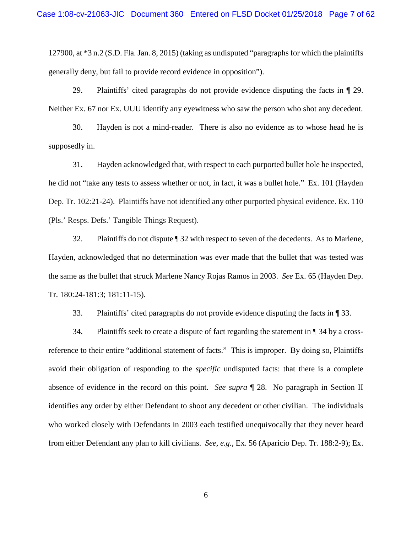127900, at \*3 n.2 (S.D. Fla. Jan. 8, 2015) (taking as undisputed "paragraphs for which the plaintiffs generally deny, but fail to provide record evidence in opposition").

29. Plaintiffs' cited paragraphs do not provide evidence disputing the facts in ¶ 29. Neither Ex. 67 nor Ex. UUU identify any eyewitness who saw the person who shot any decedent.

30. Hayden is not a mind-reader. There is also no evidence as to whose head he is supposedly in.

31. Hayden acknowledged that, with respect to each purported bullet hole he inspected, he did not "take any tests to assess whether or not, in fact, it was a bullet hole." Ex. 101 (Hayden Dep. Tr. 102:21-24). Plaintiffs have not identified any other purported physical evidence. Ex. 110 (Pls.' Resps. Defs.' Tangible Things Request).

32. Plaintiffs do not dispute ¶ 32 with respect to seven of the decedents. As to Marlene, Hayden, acknowledged that no determination was ever made that the bullet that was tested was the same as the bullet that struck Marlene Nancy Rojas Ramos in 2003. *See* Ex. 65 (Hayden Dep. Tr. 180:24-181:3; 181:11-15).

33. Plaintiffs' cited paragraphs do not provide evidence disputing the facts in ¶ 33.

34. Plaintiffs seek to create a dispute of fact regarding the statement in ¶ 34 by a crossreference to their entire "additional statement of facts." This is improper. By doing so, Plaintiffs avoid their obligation of responding to the *specific* undisputed facts: that there is a complete absence of evidence in the record on this point. *See supra* ¶ 28. No paragraph in Section II identifies any order by either Defendant to shoot any decedent or other civilian. The individuals who worked closely with Defendants in 2003 each testified unequivocally that they never heard from either Defendant any plan to kill civilians. *See, e.g.*, Ex. 56 (Aparicio Dep. Tr. 188:2-9); Ex.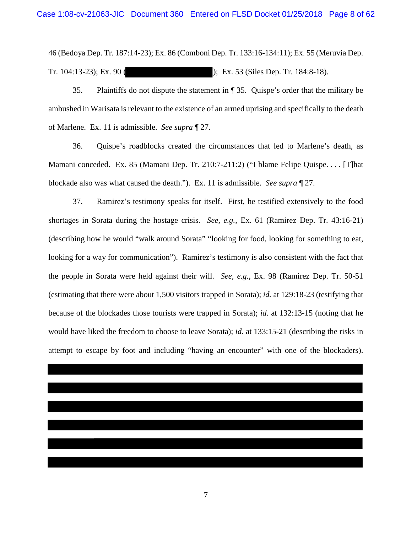46 (Bedoya Dep. Tr. 187:14-23); Ex. 86 (Comboni Dep. Tr. 133:16-134:11); Ex. 55 (Meruvia Dep. Tr. 104:13-23); Ex. 90 ( ); Ex. 53 (Siles Dep. Tr. 184:8-18).

35. Plaintiffs do not dispute the statement in ¶ 35. Quispe's order that the military be ambushed in Warisata is relevant to the existence of an armed uprising and specifically to the death of Marlene. Ex. 11 is admissible. *See supra* ¶ 27.

36. Quispe's roadblocks created the circumstances that led to Marlene's death, as Mamani conceded. Ex. 85 (Mamani Dep. Tr. 210:7-211:2) ("I blame Felipe Quispe. . . . [T]hat blockade also was what caused the death."). Ex. 11 is admissible. *See supra* ¶ 27.

37. Ramirez's testimony speaks for itself. First, he testified extensively to the food shortages in Sorata during the hostage crisis. *See, e.g.*, Ex. 61 (Ramirez Dep. Tr. 43:16-21) (describing how he would "walk around Sorata" "looking for food, looking for something to eat, looking for a way for communication"). Ramirez's testimony is also consistent with the fact that the people in Sorata were held against their will. *See, e.g.*, Ex. 98 (Ramirez Dep. Tr. 50-51 (estimating that there were about 1,500 visitors trapped in Sorata); *id.* at 129:18-23 (testifying that because of the blockades those tourists were trapped in Sorata); *id.* at 132:13-15 (noting that he would have liked the freedom to choose to leave Sorata); *id.* at 133:15-21 (describing the risks in attempt to escape by foot and including "having an encounter" with one of the blockaders).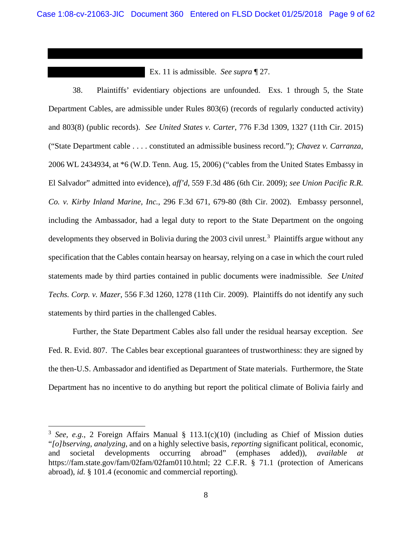Ex. 11 is admissible. *See supra* ¶ 27.

38. Plaintiffs' evidentiary objections are unfounded. Exs. 1 through 5, the State Department Cables, are admissible under Rules 803(6) (records of regularly conducted activity) and 803(8) (public records). *See United States v. Carter*, 776 F.3d 1309, 1327 (11th Cir. 2015) ("State Department cable . . . . constituted an admissible business record."); *Chavez v. Carranza*, 2006 WL 2434934, at \*6 (W.D. Tenn. Aug. 15, 2006) ("cables from the United States Embassy in El Salvador" admitted into evidence), *aff'd*, 559 F.3d 486 (6th Cir. 2009); *see Union Pacific R.R. Co. v. Kirby Inland Marine, Inc.*, 296 F.3d 671, 679-80 (8th Cir. 2002). Embassy personnel, including the Ambassador, had a legal duty to report to the State Department on the ongoing developments they observed in Bolivia during the 2003 civil unrest.<sup>3</sup> Plaintiffs argue without any specification that the Cables contain hearsay on hearsay, relying on a case in which the court ruled statements made by third parties contained in public documents were inadmissible*. See United Techs. Corp. v. Mazer*, 556 F.3d 1260, 1278 (11th Cir. 2009). Plaintiffs do not identify any such statements by third parties in the challenged Cables.

Further, the State Department Cables also fall under the residual hearsay exception. *See* Fed. R. Evid. 807. The Cables bear exceptional guarantees of trustworthiness: they are signed by the then-U.S. Ambassador and identified as Department of State materials. Furthermore, the State Department has no incentive to do anything but report the political climate of Bolivia fairly and

 $\overline{a}$ 

<sup>&</sup>lt;sup>3</sup> *See, e.g.*, 2 Foreign Affairs Manual  $\S$  113.1(c)(10) (including as Chief of Mission duties "*[o]bserving*, *analyzing*, and on a highly selective basis, *reporting* significant political, economic, and societal developments occurring abroad" (emphases added)), *available at* https://fam.state.gov/fam/02fam/02fam0110.html; 22 C.F.R. § 71.1 (protection of Americans abroad), *id.* § 101.4 (economic and commercial reporting).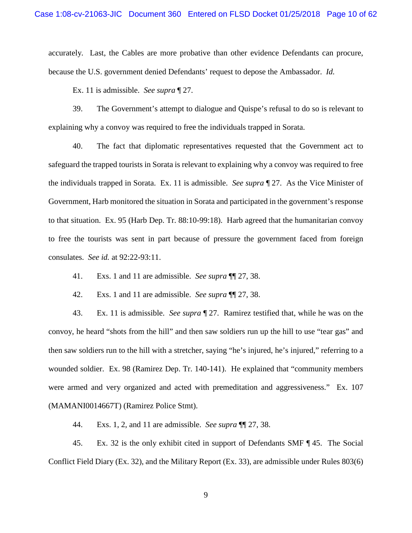accurately*.* Last, the Cables are more probative than other evidence Defendants can procure, because the U.S. government denied Defendants' request to depose the Ambassador. *Id.*

Ex. 11 is admissible. *See supra* ¶ 27.

39. The Government's attempt to dialogue and Quispe's refusal to do so is relevant to explaining why a convoy was required to free the individuals trapped in Sorata.

40. The fact that diplomatic representatives requested that the Government act to safeguard the trapped tourists in Sorata is relevant to explaining why a convoy was required to free the individuals trapped in Sorata. Ex. 11 is admissible. *See supra* ¶ 27. As the Vice Minister of Government, Harb monitored the situation in Sorata and participated in the government's response to that situation. Ex. 95 (Harb Dep. Tr. 88:10-99:18). Harb agreed that the humanitarian convoy to free the tourists was sent in part because of pressure the government faced from foreign consulates. *See id.* at 92:22-93:11.

41. Exs. 1 and 11 are admissible. *See supra* ¶¶ 27, 38.

42. Exs. 1 and 11 are admissible. *See supra* ¶¶ 27, 38.

43. Ex. 11 is admissible. *See supra* ¶ 27. Ramirez testified that, while he was on the convoy, he heard "shots from the hill" and then saw soldiers run up the hill to use "tear gas" and then saw soldiers run to the hill with a stretcher, saying "he's injured, he's injured," referring to a wounded soldier. Ex. 98 (Ramirez Dep. Tr. 140-141). He explained that "community members were armed and very organized and acted with premeditation and aggressiveness." Ex. 107 (MAMANI0014667T) (Ramirez Police Stmt).

44. Exs. 1, 2, and 11 are admissible. *See supra* ¶¶ 27, 38.

45. Ex. 32 is the only exhibit cited in support of Defendants SMF ¶ 45. The Social Conflict Field Diary (Ex. 32), and the Military Report (Ex. 33), are admissible under Rules 803(6)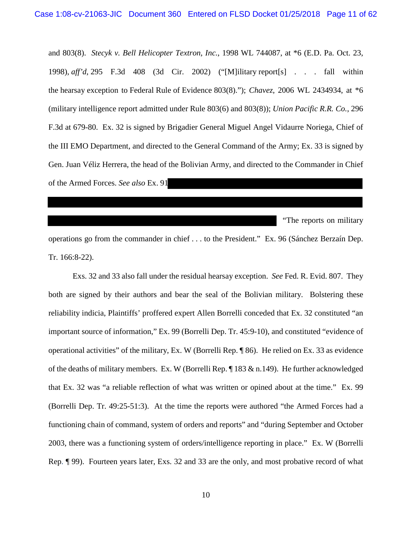and 803(8). *Stecyk v. Bell Helicopter Textron, Inc.*, 1998 WL 744087, at \*6 (E.D. Pa. Oct. 23, 1998), *aff'd*, 295 F.3d 408 (3d Cir. 2002) ("[M]ilitary report[s] . . . fall within the hearsay exception to Federal Rule of Evidence 803(8)."); *Chavez*, 2006 WL 2434934, at \*6 (military intelligence report admitted under Rule 803(6) and 803(8)); *Union Pacific R.R. Co.*, 296 F.3d at 679-80. Ex. 32 is signed by Brigadier General Miguel Angel Vidaurre Noriega, Chief of the III EMO Department, and directed to the General Command of the Army; Ex. 33 is signed by Gen. Juan Véliz Herrera, the head of the Bolivian Army, and directed to the Commander in Chief of the Armed Forces. *See also* Ex. 91

"The reports on military

operations go from the commander in chief . . . to the President." Ex. 96 (Sánchez Berzaín Dep. Tr. 166:8-22).

Exs. 32 and 33 also fall under the residual hearsay exception. *See* Fed. R. Evid. 807. They both are signed by their authors and bear the seal of the Bolivian military. Bolstering these reliability indicia, Plaintiffs' proffered expert Allen Borrelli conceded that Ex. 32 constituted "an important source of information," Ex. 99 (Borrelli Dep. Tr. 45:9-10), and constituted "evidence of operational activities" of the military, Ex. W (Borrelli Rep. ¶ 86). He relied on Ex. 33 as evidence of the deaths of military members. Ex. W (Borrelli Rep.  $\P$  183 & n.149). He further acknowledged that Ex. 32 was "a reliable reflection of what was written or opined about at the time." Ex. 99 (Borrelli Dep. Tr. 49:25-51:3). At the time the reports were authored "the Armed Forces had a functioning chain of command, system of orders and reports" and "during September and October 2003, there was a functioning system of orders/intelligence reporting in place." Ex. W (Borrelli Rep. ¶ 99). Fourteen years later, Exs. 32 and 33 are the only, and most probative record of what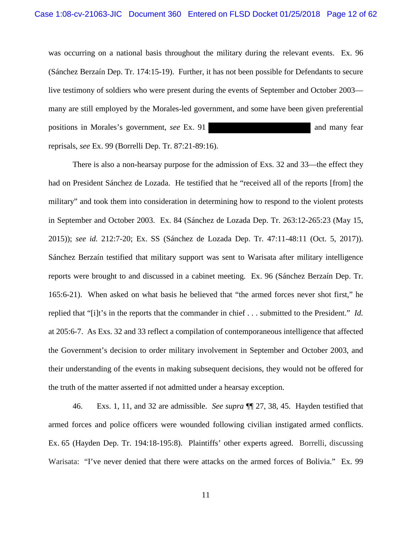was occurring on a national basis throughout the military during the relevant events. Ex. 96 (Sánchez Berzaín Dep. Tr. 174:15-19). Further, it has not been possible for Defendants to secure live testimony of soldiers who were present during the events of September and October 2003 many are still employed by the Morales-led government, and some have been given preferential positions in Morales's government, *see* Ex. 91 and many fear reprisals, *see* Ex. 99 (Borrelli Dep. Tr. 87:21-89:16).

There is also a non-hearsay purpose for the admission of Exs. 32 and 33—the effect they had on President Sánchez de Lozada. He testified that he "received all of the reports [from] the military" and took them into consideration in determining how to respond to the violent protests in September and October 2003. Ex. 84 (Sánchez de Lozada Dep. Tr. 263:12-265:23 (May 15, 2015)); *see id.* 212:7-20; Ex. SS (Sánchez de Lozada Dep. Tr. 47:11-48:11 (Oct. 5, 2017)). Sánchez Berzaín testified that military support was sent to Warisata after military intelligence reports were brought to and discussed in a cabinet meeting. Ex. 96 (Sánchez Berzaín Dep. Tr. 165:6-21). When asked on what basis he believed that "the armed forces never shot first," he replied that "[i]t's in the reports that the commander in chief . . . submitted to the President." *Id.* at 205:6-7. As Exs. 32 and 33 reflect a compilation of contemporaneous intelligence that affected the Government's decision to order military involvement in September and October 2003, and their understanding of the events in making subsequent decisions, they would not be offered for the truth of the matter asserted if not admitted under a hearsay exception.

46. Exs. 1, 11, and 32 are admissible. *See supra* ¶¶ 27, 38, 45. Hayden testified that armed forces and police officers were wounded following civilian instigated armed conflicts. Ex. 65 (Hayden Dep. Tr. 194:18-195:8). Plaintiffs' other experts agreed. Borrelli, discussing Warisata: "I've never denied that there were attacks on the armed forces of Bolivia." Ex. 99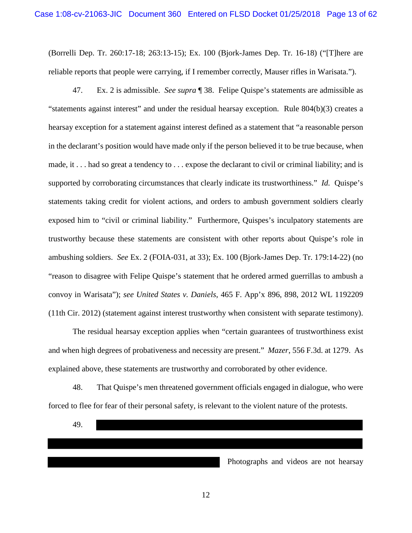(Borrelli Dep. Tr. 260:17-18; 263:13-15); Ex. 100 (Bjork-James Dep. Tr. 16-18) ("[T]here are reliable reports that people were carrying, if I remember correctly, Mauser rifles in Warisata.").

47. Ex. 2 is admissible. *See supra* ¶ 38. Felipe Quispe's statements are admissible as "statements against interest" and under the residual hearsay exception. Rule 804(b)(3) creates a hearsay exception for a statement against interest defined as a statement that "a reasonable person in the declarant's position would have made only if the person believed it to be true because, when made, it . . . had so great a tendency to . . . expose the declarant to civil or criminal liability; and is supported by corroborating circumstances that clearly indicate its trustworthiness." *Id.* Quispe's statements taking credit for violent actions, and orders to ambush government soldiers clearly exposed him to "civil or criminal liability." Furthermore, Quispes's inculpatory statements are trustworthy because these statements are consistent with other reports about Quispe's role in ambushing soldiers. *See* Ex. 2 (FOIA-031, at 33); Ex. 100 (Bjork-James Dep. Tr. 179:14-22) (no "reason to disagree with Felipe Quispe's statement that he ordered armed guerrillas to ambush a convoy in Warisata"); *see United States v. Daniels*, 465 F. App'x 896, 898, 2012 WL 1192209 (11th Cir. 2012) (statement against interest trustworthy when consistent with separate testimony).

The residual hearsay exception applies when "certain guarantees of trustworthiness exist and when high degrees of probativeness and necessity are present." *Mazer*, 556 F.3d. at 1279. As explained above, these statements are trustworthy and corroborated by other evidence.

48. That Quispe's men threatened government officials engaged in dialogue, who were forced to flee for fear of their personal safety, is relevant to the violent nature of the protests.

49.

Photographs and videos are not hearsay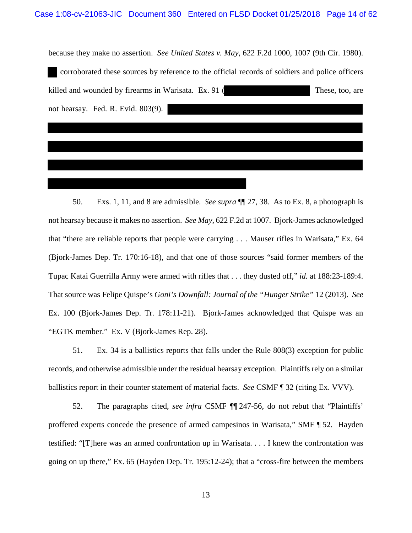| because they make no assertion. See United States v. May, 622 F.2d 1000, 1007 (9th Cir. 1980).  |
|-------------------------------------------------------------------------------------------------|
| corroborated these sources by reference to the official records of soldiers and police officers |
| These, too, are                                                                                 |
|                                                                                                 |
|                                                                                                 |
|                                                                                                 |
|                                                                                                 |

50. Exs. 1, 11, and 8 are admissible. *See supra* ¶¶ 27, 38. As to Ex. 8, a photograph is not hearsay because it makes no assertion. *See May*, 622 F.2d at 1007. Bjork-James acknowledged that "there are reliable reports that people were carrying . . . Mauser rifles in Warisata," Ex. 64 (Bjork-James Dep. Tr. 170:16-18), and that one of those sources "said former members of the Tupac Katai Guerrilla Army were armed with rifles that . . . they dusted off," *id.* at 188:23-189:4. That source was Felipe Quispe's *Goni's Downfall: Journal of the "Hunger Strike"* 12 (2013). *See*  Ex. 100 (Bjork-James Dep. Tr. 178:11-21). Bjork-James acknowledged that Quispe was an "EGTK member." Ex. V (Bjork-James Rep. 28).

51. Ex. 34 is a ballistics reports that falls under the Rule 808(3) exception for public records, and otherwise admissible under the residual hearsay exception. Plaintiffs rely on a similar ballistics report in their counter statement of material facts. *See* CSMF ¶ 32 (citing Ex. VVV).

52. The paragraphs cited, *see infra* CSMF ¶¶ 247-56, do not rebut that "Plaintiffs' proffered experts concede the presence of armed campesinos in Warisata," SMF ¶ 52. Hayden testified: "[T]here was an armed confrontation up in Warisata. . . . I knew the confrontation was going on up there," Ex. 65 (Hayden Dep. Tr. 195:12-24); that a "cross-fire between the members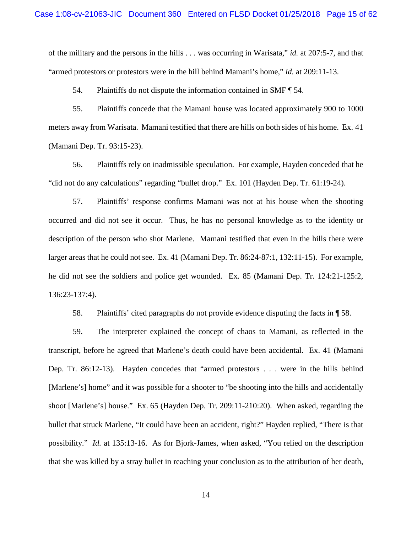of the military and the persons in the hills . . . was occurring in Warisata," *id.* at 207:5-7, and that "armed protestors or protestors were in the hill behind Mamani's home," *id.* at 209:11-13.

54. Plaintiffs do not dispute the information contained in SMF ¶ 54.

55. Plaintiffs concede that the Mamani house was located approximately 900 to 1000 meters away from Warisata. Mamani testified that there are hills on both sides of his home. Ex. 41 (Mamani Dep. Tr. 93:15-23).

56. Plaintiffs rely on inadmissible speculation. For example, Hayden conceded that he "did not do any calculations" regarding "bullet drop." Ex. 101 (Hayden Dep. Tr. 61:19-24).

57. Plaintiffs' response confirms Mamani was not at his house when the shooting occurred and did not see it occur. Thus, he has no personal knowledge as to the identity or description of the person who shot Marlene. Mamani testified that even in the hills there were larger areas that he could not see. Ex. 41 (Mamani Dep. Tr. 86:24-87:1, 132:11-15). For example, he did not see the soldiers and police get wounded. Ex. 85 (Mamani Dep. Tr. 124:21-125:2, 136:23-137:4).

58. Plaintiffs' cited paragraphs do not provide evidence disputing the facts in ¶ 58.

59. The interpreter explained the concept of chaos to Mamani, as reflected in the transcript, before he agreed that Marlene's death could have been accidental. Ex. 41 (Mamani Dep. Tr. 86:12-13). Hayden concedes that "armed protestors . . . were in the hills behind [Marlene's] home" and it was possible for a shooter to "be shooting into the hills and accidentally shoot [Marlene's] house." Ex. 65 (Hayden Dep. Tr. 209:11-210:20). When asked, regarding the bullet that struck Marlene, "It could have been an accident, right?" Hayden replied, "There is that possibility." *Id.* at 135:13-16. As for Bjork-James, when asked, "You relied on the description that she was killed by a stray bullet in reaching your conclusion as to the attribution of her death,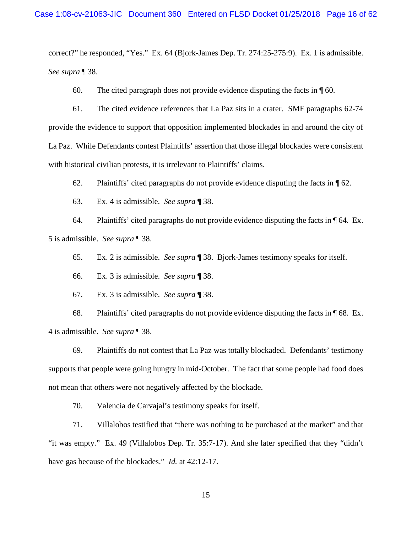correct?" he responded, "Yes." Ex. 64 (Bjork-James Dep. Tr. 274:25-275:9). Ex. 1 is admissible. *See supra* ¶ 38.

60. The cited paragraph does not provide evidence disputing the facts in ¶ 60.

61. The cited evidence references that La Paz sits in a crater. SMF paragraphs 62-74 provide the evidence to support that opposition implemented blockades in and around the city of La Paz. While Defendants contest Plaintiffs' assertion that those illegal blockades were consistent with historical civilian protests, it is irrelevant to Plaintiffs' claims.

62. Plaintiffs' cited paragraphs do not provide evidence disputing the facts in  $\P$  62.

63. Ex. 4 is admissible. *See supra* ¶ 38.

64. Plaintiffs' cited paragraphs do not provide evidence disputing the facts in ¶ 64. Ex. 5 is admissible. *See supra* ¶ 38.

65. Ex. 2 is admissible. *See supra* ¶ 38. Bjork-James testimony speaks for itself.

66. Ex. 3 is admissible. *See supra* ¶ 38.

67. Ex. 3 is admissible. *See supra* ¶ 38.

68. Plaintiffs' cited paragraphs do not provide evidence disputing the facts in ¶ 68. Ex. 4 is admissible. *See supra* ¶ 38.

69. Plaintiffs do not contest that La Paz was totally blockaded. Defendants' testimony supports that people were going hungry in mid-October. The fact that some people had food does not mean that others were not negatively affected by the blockade.

70. Valencia de Carvajal's testimony speaks for itself.

71. Villalobos testified that "there was nothing to be purchased at the market" and that "it was empty." Ex. 49 (Villalobos Dep. Tr. 35:7-17). And she later specified that they "didn't have gas because of the blockades." *Id.* at 42:12-17.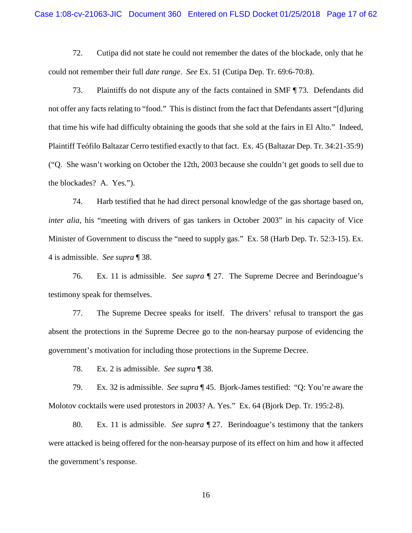72. Cutipa did not state he could not remember the dates of the blockade, only that he could not remember their full *date range*. *See* Ex. 51 (Cutipa Dep. Tr. 69:6-70:8).

73. Plaintiffs do not dispute any of the facts contained in SMF ¶ 73. Defendants did not offer any facts relating to "food." This is distinct from the fact that Defendants assert "[d]uring that time his wife had difficulty obtaining the goods that she sold at the fairs in El Alto." Indeed, Plaintiff Teófilo Baltazar Cerro testified exactly to that fact. Ex. 45 (Baltazar Dep. Tr. 34:21-35:9) ("Q. She wasn't working on October the 12th, 2003 because she couldn't get goods to sell due to the blockades? A. Yes.").

74. Harb testified that he had direct personal knowledge of the gas shortage based on, *inter alia*, his "meeting with drivers of gas tankers in October 2003" in his capacity of Vice Minister of Government to discuss the "need to supply gas." Ex. 58 (Harb Dep. Tr. 52:3-15). Ex. 4 is admissible. *See supra* ¶ 38.

76. Ex. 11 is admissible. *See supra* ¶ 27. The Supreme Decree and Berindoague's testimony speak for themselves.

77. The Supreme Decree speaks for itself. The drivers' refusal to transport the gas absent the protections in the Supreme Decree go to the non-hearsay purpose of evidencing the government's motivation for including those protections in the Supreme Decree.

78. Ex. 2 is admissible. *See supra* ¶ 38.

79. Ex. 32 is admissible. *See supra* ¶ 45. Bjork-James testified: "Q: You're aware the Molotov cocktails were used protestors in 2003? A. Yes." Ex. 64 (Bjork Dep. Tr. 195:2-8).

80. Ex. 11 is admissible. *See supra* ¶ 27. Berindoague's testimony that the tankers were attacked is being offered for the non-hearsay purpose of its effect on him and how it affected the government's response.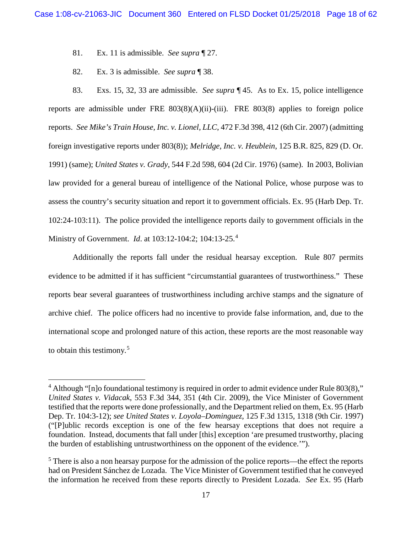- 81. Ex. 11 is admissible. *See supra* ¶ 27.
- 82. Ex. 3 is admissible. *See supra* ¶ 38.

83. Exs. 15, 32, 33 are admissible. *See supra* ¶ 45. As to Ex. 15, police intelligence reports are admissible under FRE  $803(8)(A)(ii)$ -(iii). FRE  $803(8)$  applies to foreign police reports. *See Mike's Train House, Inc. v. Lionel, LLC*, 472 F.3d 398, 412 (6th Cir. 2007) (admitting foreign investigative reports under 803(8)); *Melridge, Inc. v. Heublein*, 125 B.R. 825, 829 (D. Or. 1991) (same); *United States v. Grady*, 544 F.2d 598, 604 (2d Cir. 1976) (same). In 2003, Bolivian law provided for a general bureau of intelligence of the National Police, whose purpose was to assess the country's security situation and report it to government officials. Ex. 95 (Harb Dep. Tr. 102:24-103:11). The police provided the intelligence reports daily to government officials in the Ministry of Government. *Id*. at 103:12-104:2; 104:13-25.<sup>4</sup>

Additionally the reports fall under the residual hearsay exception. Rule 807 permits evidence to be admitted if it has sufficient "circumstantial guarantees of trustworthiness." These reports bear several guarantees of trustworthiness including archive stamps and the signature of archive chief. The police officers had no incentive to provide false information, and, due to the international scope and prolonged nature of this action, these reports are the most reasonable way to obtain this testimony.<sup>5</sup>

<sup>&</sup>lt;sup>4</sup> Although "[n]o foundational testimony is required in order to admit evidence under Rule 803(8)," *United States v. Vidacak*, 553 F.3d 344, 351 (4th Cir. 2009), the Vice Minister of Government testified that the reports were done professionally, and the Department relied on them, Ex. 95 (Harb Dep. Tr. 104:3-12); *see United States v. Loyola–Dominguez*, 125 F.3d 1315, 1318 (9th Cir. 1997) ("[P]ublic records exception is one of the few hearsay exceptions that does not require a foundation. Instead, documents that fall under [this] exception 'are presumed trustworthy, placing the burden of establishing untrustworthiness on the opponent of the evidence.'").

<sup>&</sup>lt;sup>5</sup> There is also a non hearsay purpose for the admission of the police reports—the effect the reports had on President Sánchez de Lozada. The Vice Minister of Government testified that he conveyed the information he received from these reports directly to President Lozada. *See* Ex. 95 (Harb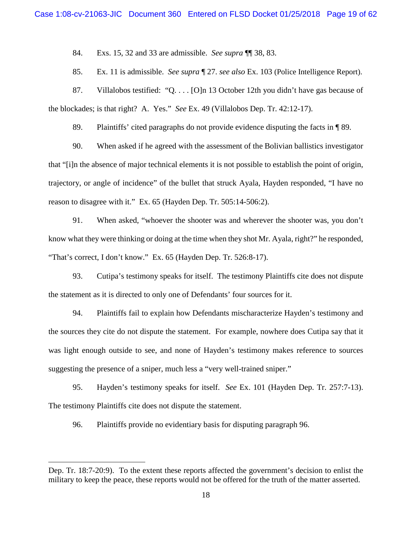84. Exs. 15, 32 and 33 are admissible. *See supra* ¶¶ 38, 83.

85. Ex. 11 is admissible. *See supra* ¶ 27. *see also* Ex. 103 (Police Intelligence Report).

87. Villalobos testified: "Q. . . . [O]n 13 October 12th you didn't have gas because of the blockades; is that right? A. Yes." *See* Ex. 49 (Villalobos Dep. Tr. 42:12-17).

89. Plaintiffs' cited paragraphs do not provide evidence disputing the facts in ¶ 89.

90. When asked if he agreed with the assessment of the Bolivian ballistics investigator that "[i]n the absence of major technical elements it is not possible to establish the point of origin, trajectory, or angle of incidence" of the bullet that struck Ayala, Hayden responded, "I have no reason to disagree with it." Ex. 65 (Hayden Dep. Tr. 505:14-506:2).

91. When asked, "whoever the shooter was and wherever the shooter was, you don't know what they were thinking or doing at the time when they shot Mr. Ayala, right?" he responded, "That's correct, I don't know." Ex. 65 (Hayden Dep. Tr. 526:8-17).

93. Cutipa's testimony speaks for itself. The testimony Plaintiffs cite does not dispute the statement as it is directed to only one of Defendants' four sources for it.

94. Plaintiffs fail to explain how Defendants mischaracterize Hayden's testimony and the sources they cite do not dispute the statement. For example, nowhere does Cutipa say that it was light enough outside to see, and none of Hayden's testimony makes reference to sources suggesting the presence of a sniper, much less a "very well-trained sniper."

95. Hayden's testimony speaks for itself. *See* Ex. 101 (Hayden Dep. Tr. 257:7-13). The testimony Plaintiffs cite does not dispute the statement.

96. Plaintiffs provide no evidentiary basis for disputing paragraph 96.

 $\overline{a}$ 

Dep. Tr. 18:7-20:9). To the extent these reports affected the government's decision to enlist the military to keep the peace, these reports would not be offered for the truth of the matter asserted.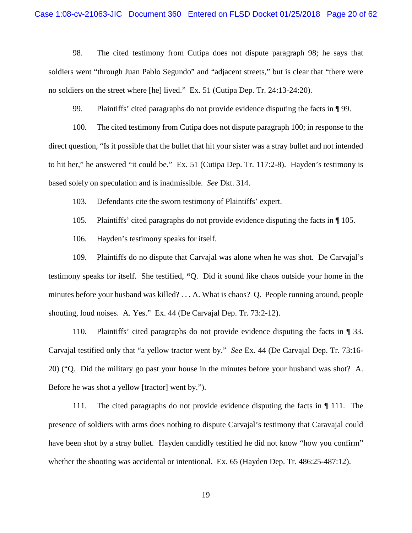98. The cited testimony from Cutipa does not dispute paragraph 98; he says that soldiers went "through Juan Pablo Segundo" and "adjacent streets," but is clear that "there were no soldiers on the street where [he] lived." Ex. 51 (Cutipa Dep. Tr. 24:13-24:20).

99. Plaintiffs' cited paragraphs do not provide evidence disputing the facts in ¶ 99.

100. The cited testimony from Cutipa does not dispute paragraph 100; in response to the direct question, "Is it possible that the bullet that hit your sister was a stray bullet and not intended to hit her," he answered "it could be." Ex. 51 (Cutipa Dep. Tr. 117:2-8). Hayden's testimony is based solely on speculation and is inadmissible. *See* Dkt. 314.

103. Defendants cite the sworn testimony of Plaintiffs' expert.

105. Plaintiffs' cited paragraphs do not provide evidence disputing the facts in ¶ 105.

106. Hayden's testimony speaks for itself.

109. Plaintiffs do no dispute that Carvajal was alone when he was shot. De Carvajal's testimony speaks for itself. She testified, **"**Q. Did it sound like chaos outside your home in the minutes before your husband was killed? . . . A. What is chaos? Q. People running around, people shouting, loud noises. A. Yes." Ex. 44 (De Carvajal Dep. Tr. 73:2-12).

110. Plaintiffs' cited paragraphs do not provide evidence disputing the facts in ¶ 33. Carvajal testified only that "a yellow tractor went by." *See* Ex. 44 (De Carvajal Dep. Tr. 73:16- 20) ("Q. Did the military go past your house in the minutes before your husband was shot? A. Before he was shot a yellow [tractor] went by.").

111. The cited paragraphs do not provide evidence disputing the facts in ¶ 111. The presence of soldiers with arms does nothing to dispute Carvajal's testimony that Caravajal could have been shot by a stray bullet. Hayden candidly testified he did not know "how you confirm" whether the shooting was accidental or intentional. Ex. 65 (Hayden Dep. Tr. 486:25-487:12).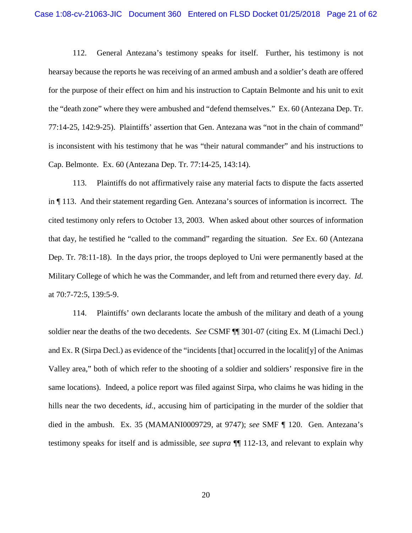112. General Antezana's testimony speaks for itself. Further, his testimony is not hearsay because the reports he was receiving of an armed ambush and a soldier's death are offered for the purpose of their effect on him and his instruction to Captain Belmonte and his unit to exit the "death zone" where they were ambushed and "defend themselves." Ex. 60 (Antezana Dep. Tr. 77:14-25, 142:9-25). Plaintiffs' assertion that Gen. Antezana was "not in the chain of command" is inconsistent with his testimony that he was "their natural commander" and his instructions to Cap. Belmonte. Ex. 60 (Antezana Dep. Tr. 77:14-25, 143:14).

113. Plaintiffs do not affirmatively raise any material facts to dispute the facts asserted in ¶ 113. And their statement regarding Gen. Antezana's sources of information is incorrect. The cited testimony only refers to October 13, 2003. When asked about other sources of information that day, he testified he "called to the command" regarding the situation. *See* Ex. 60 (Antezana Dep. Tr. 78:11-18). In the days prior, the troops deployed to Uni were permanently based at the Military College of which he was the Commander, and left from and returned there every day. *Id.* at 70:7-72:5, 139:5-9.

114. Plaintiffs' own declarants locate the ambush of the military and death of a young soldier near the deaths of the two decedents. *See* CSMF ¶¶ 301-07 (citing Ex. M (Limachi Decl.) and Ex. R (Sirpa Decl.) as evidence of the "incidents [that] occurred in the localit[y] of the Animas Valley area," both of which refer to the shooting of a soldier and soldiers' responsive fire in the same locations). Indeed, a police report was filed against Sirpa, who claims he was hiding in the hills near the two decedents, *id.*, accusing him of participating in the murder of the soldier that died in the ambush. Ex. 35 (MAMANI0009729, at 9747); *see* SMF ¶ 120. Gen. Antezana's testimony speaks for itself and is admissible, *see supra* ¶¶ 112-13, and relevant to explain why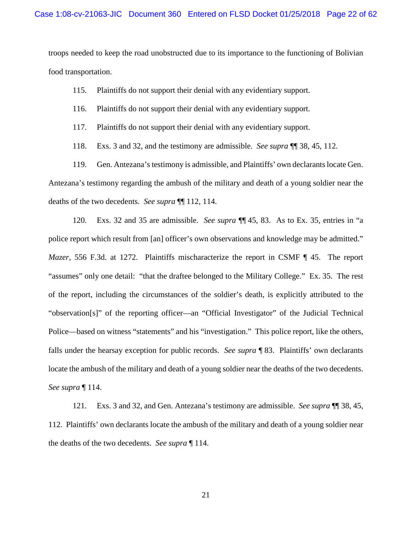troops needed to keep the road unobstructed due to its importance to the functioning of Bolivian food transportation.

115. Plaintiffs do not support their denial with any evidentiary support.

- 116. Plaintiffs do not support their denial with any evidentiary support.
- 117. Plaintiffs do not support their denial with any evidentiary support.
- 118. Exs. 3 and 32, and the testimony are admissible. *See supra* ¶¶ 38, 45, 112.

119. Gen. Antezana's testimony is admissible, and Plaintiffs' own declarants locate Gen. Antezana's testimony regarding the ambush of the military and death of a young soldier near the deaths of the two decedents. *See supra* ¶¶ 112, 114.

120. Exs. 32 and 35 are admissible. *See supra* ¶¶ 45, 83. As to Ex. 35, entries in "a police report which result from [an] officer's own observations and knowledge may be admitted." *Mazer*, 556 F.3d. at 1272. Plaintiffs mischaracterize the report in CSMF ¶ 45. The report "assumes" only one detail: "that the draftee belonged to the Military College." Ex. 35. The rest of the report, including the circumstances of the soldier's death, is explicitly attributed to the "observation[s]" of the reporting officer—an "Official Investigator" of the Judicial Technical Police—based on witness "statements" and his "investigation." This police report, like the others, falls under the hearsay exception for public records. *See supra* ¶ 83. Plaintiffs' own declarants locate the ambush of the military and death of a young soldier near the deaths of the two decedents. *See supra* ¶ 114.

121. Exs. 3 and 32, and Gen. Antezana's testimony are admissible. *See supra* ¶¶ 38, 45, 112. Plaintiffs' own declarants locate the ambush of the military and death of a young soldier near the deaths of the two decedents. *See supra* ¶ 114.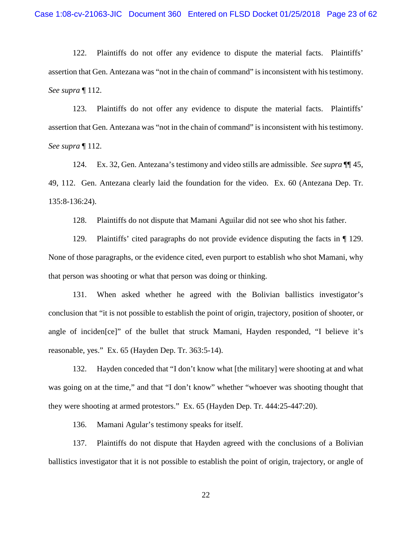122. Plaintiffs do not offer any evidence to dispute the material facts. Plaintiffs' assertion that Gen. Antezana was "not in the chain of command" is inconsistent with his testimony. *See supra* ¶ 112.

123. Plaintiffs do not offer any evidence to dispute the material facts. Plaintiffs' assertion that Gen. Antezana was "not in the chain of command" is inconsistent with his testimony. *See supra* ¶ 112.

124. Ex. 32, Gen. Antezana's testimony and video stills are admissible. *See supra* ¶¶ 45, 49, 112. Gen. Antezana clearly laid the foundation for the video. Ex. 60 (Antezana Dep. Tr. 135:8-136:24).

128. Plaintiffs do not dispute that Mamani Aguilar did not see who shot his father.

129. Plaintiffs' cited paragraphs do not provide evidence disputing the facts in ¶ 129. None of those paragraphs, or the evidence cited, even purport to establish who shot Mamani, why that person was shooting or what that person was doing or thinking.

131. When asked whether he agreed with the Bolivian ballistics investigator's conclusion that "it is not possible to establish the point of origin, trajectory, position of shooter, or angle of inciden[ce]" of the bullet that struck Mamani, Hayden responded, "I believe it's reasonable, yes." Ex. 65 (Hayden Dep. Tr. 363:5-14).

132. Hayden conceded that "I don't know what [the military] were shooting at and what was going on at the time," and that "I don't know" whether "whoever was shooting thought that they were shooting at armed protestors." Ex. 65 (Hayden Dep. Tr. 444:25-447:20).

136. Mamani Agular's testimony speaks for itself.

137. Plaintiffs do not dispute that Hayden agreed with the conclusions of a Bolivian ballistics investigator that it is not possible to establish the point of origin, trajectory, or angle of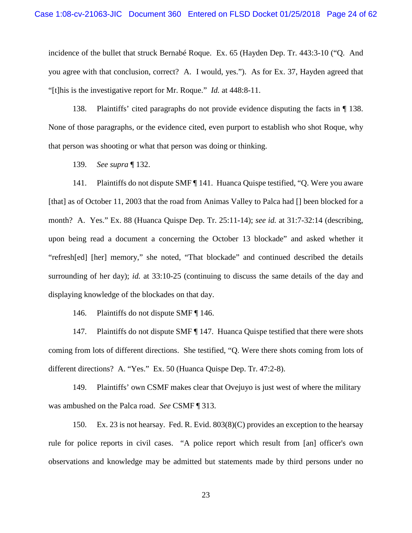incidence of the bullet that struck Bernabé Roque. Ex. 65 (Hayden Dep. Tr. 443:3-10 ("Q. And you agree with that conclusion, correct? A. I would, yes."). As for Ex. 37, Hayden agreed that "[t]his is the investigative report for Mr. Roque." *Id.* at 448:8-11.

138. Plaintiffs' cited paragraphs do not provide evidence disputing the facts in ¶ 138. None of those paragraphs, or the evidence cited, even purport to establish who shot Roque, why that person was shooting or what that person was doing or thinking.

139. *See supra* ¶ 132.

141. Plaintiffs do not dispute SMF ¶ 141. Huanca Quispe testified, "Q. Were you aware [that] as of October 11, 2003 that the road from Animas Valley to Palca had [] been blocked for a month? A. Yes." Ex. 88 (Huanca Quispe Dep. Tr. 25:11-14); *see id.* at 31:7-32:14 (describing, upon being read a document a concerning the October 13 blockade" and asked whether it "refresh[ed] [her] memory," she noted, "That blockade" and continued described the details surrounding of her day); *id.* at 33:10-25 (continuing to discuss the same details of the day and displaying knowledge of the blockades on that day.

146. Plaintiffs do not dispute SMF ¶ 146.

147. Plaintiffs do not dispute SMF | 147. Huanca Quispe testified that there were shots coming from lots of different directions. She testified, "Q. Were there shots coming from lots of different directions? A. "Yes." Ex. 50 (Huanca Quispe Dep. Tr. 47:2-8).

149. Plaintiffs' own CSMF makes clear that Ovejuyo is just west of where the military was ambushed on the Palca road. *See* CSMF ¶ 313.

150. Ex. 23 is not hearsay. Fed. R. Evid. 803(8)(C) provides an exception to the hearsay rule for police reports in civil cases. "A police report which result from [an] officer's own observations and knowledge may be admitted but statements made by third persons under no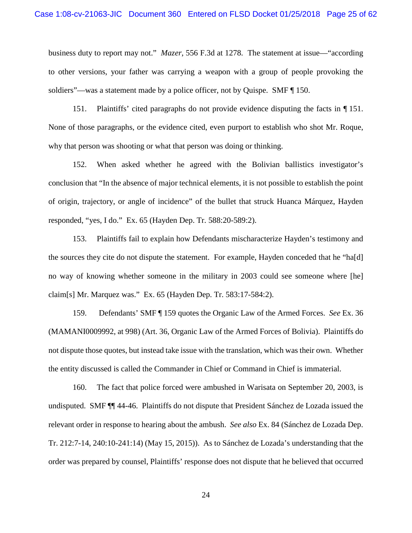business duty to report may not." *Mazer*, 556 F.3d at 1278. The statement at issue—"according to other versions, your father was carrying a weapon with a group of people provoking the soldiers"—was a statement made by a police officer, not by Quispe. SMF ¶ 150.

151. Plaintiffs' cited paragraphs do not provide evidence disputing the facts in ¶ 151. None of those paragraphs, or the evidence cited, even purport to establish who shot Mr. Roque, why that person was shooting or what that person was doing or thinking.

152. When asked whether he agreed with the Bolivian ballistics investigator's conclusion that "In the absence of major technical elements, it is not possible to establish the point of origin, trajectory, or angle of incidence" of the bullet that struck Huanca Márquez, Hayden responded, "yes, I do." Ex. 65 (Hayden Dep. Tr. 588:20-589:2).

153. Plaintiffs fail to explain how Defendants mischaracterize Hayden's testimony and the sources they cite do not dispute the statement. For example, Hayden conceded that he "ha[d] no way of knowing whether someone in the military in 2003 could see someone where [he] claim[s] Mr. Marquez was." Ex. 65 (Hayden Dep. Tr. 583:17-584:2).

159. Defendants' SMF ¶ 159 quotes the Organic Law of the Armed Forces. *See* Ex. 36 (MAMANI0009992, at 998) (Art. 36, Organic Law of the Armed Forces of Bolivia). Plaintiffs do not dispute those quotes, but instead take issue with the translation, which was their own. Whether the entity discussed is called the Commander in Chief or Command in Chief is immaterial.

160. The fact that police forced were ambushed in Warisata on September 20, 2003, is undisputed. SMF ¶¶ 44-46. Plaintiffs do not dispute that President Sánchez de Lozada issued the relevant order in response to hearing about the ambush. *See also* Ex. 84 (Sánchez de Lozada Dep. Tr. 212:7-14, 240:10-241:14) (May 15, 2015)). As to Sánchez de Lozada's understanding that the order was prepared by counsel, Plaintiffs' response does not dispute that he believed that occurred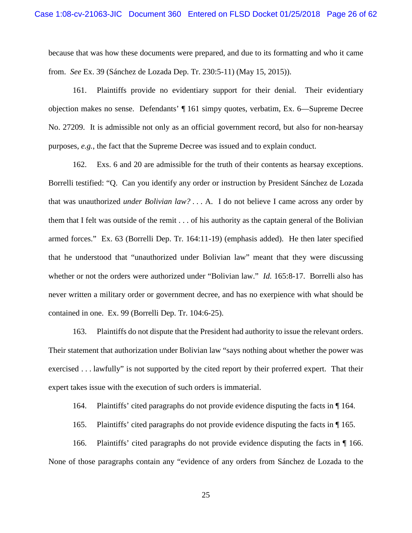because that was how these documents were prepared, and due to its formatting and who it came from. *See* Ex. 39 (Sánchez de Lozada Dep. Tr. 230:5-11) (May 15, 2015)).

161. Plaintiffs provide no evidentiary support for their denial. Their evidentiary objection makes no sense. Defendants' ¶ 161 simpy quotes, verbatim, Ex. 6—Supreme Decree No. 27209. It is admissible not only as an official government record, but also for non-hearsay purposes, *e.g.*, the fact that the Supreme Decree was issued and to explain conduct.

162. Exs. 6 and 20 are admissible for the truth of their contents as hearsay exceptions. Borrelli testified: "Q. Can you identify any order or instruction by President Sánchez de Lozada that was unauthorized *under Bolivian law?* . . . A. I do not believe I came across any order by them that I felt was outside of the remit . . . of his authority as the captain general of the Bolivian armed forces." Ex. 63 (Borrelli Dep. Tr. 164:11-19) (emphasis added). He then later specified that he understood that "unauthorized under Bolivian law" meant that they were discussing whether or not the orders were authorized under "Bolivian law." *Id.* 165:8-17. Borrelli also has never written a military order or government decree, and has no exerpience with what should be contained in one. Ex. 99 (Borrelli Dep. Tr. 104:6-25).

163. Plaintiffs do not dispute that the President had authority to issue the relevant orders. Their statement that authorization under Bolivian law "says nothing about whether the power was exercised . . . lawfully" is not supported by the cited report by their proferred expert. That their expert takes issue with the execution of such orders is immaterial.

164. Plaintiffs' cited paragraphs do not provide evidence disputing the facts in ¶ 164.

165. Plaintiffs' cited paragraphs do not provide evidence disputing the facts in ¶ 165.

166. Plaintiffs' cited paragraphs do not provide evidence disputing the facts in ¶ 166. None of those paragraphs contain any "evidence of any orders from Sánchez de Lozada to the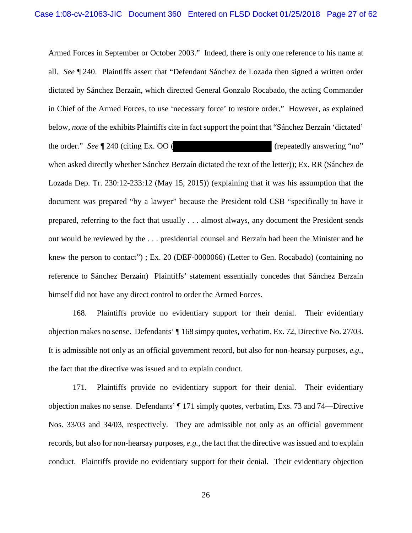Armed Forces in September or October 2003." Indeed, there is only one reference to his name at all. *See* ¶ 240. Plaintiffs assert that "Defendant Sánchez de Lozada then signed a written order dictated by Sánchez Berzaín, which directed General Gonzalo Rocabado, the acting Commander in Chief of the Armed Forces, to use 'necessary force' to restore order." However, as explained below, *none* of the exhibits Plaintiffs cite in fact support the point that "Sánchez Berzaín 'dictated' the order." *See* | 240 (citing Ex. OO ( (repeatedly answering "no" when asked directly whether Sánchez Berzaín dictated the text of the letter)); Ex. RR (Sánchez de Lozada Dep. Tr. 230:12-233:12 (May 15, 2015)) (explaining that it was his assumption that the document was prepared "by a lawyer" because the President told CSB "specifically to have it prepared, referring to the fact that usually . . . almost always, any document the President sends out would be reviewed by the . . . presidential counsel and Berzaín had been the Minister and he knew the person to contact") ; Ex. 20 (DEF-0000066) (Letter to Gen. Rocabado) (containing no reference to Sánchez Berzaín) Plaintiffs' statement essentially concedes that Sánchez Berzaín himself did not have any direct control to order the Armed Forces.

168. Plaintiffs provide no evidentiary support for their denial. Their evidentiary objection makes no sense. Defendants' ¶ 168 simpy quotes, verbatim, Ex. 72, Directive No. 27/03. It is admissible not only as an official government record, but also for non-hearsay purposes, *e.g.*, the fact that the directive was issued and to explain conduct.

171. Plaintiffs provide no evidentiary support for their denial. Their evidentiary objection makes no sense. Defendants' ¶ 171 simply quotes, verbatim, Exs. 73 and 74—Directive Nos. 33/03 and 34/03, respectively. They are admissible not only as an official government records, but also for non-hearsay purposes, *e.g.*, the fact that the directive was issued and to explain conduct. Plaintiffs provide no evidentiary support for their denial. Their evidentiary objection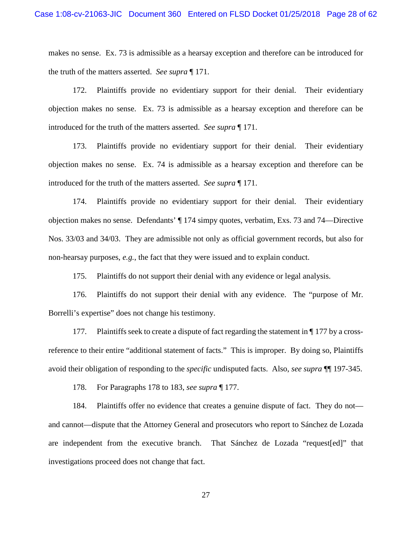makes no sense. Ex. 73 is admissible as a hearsay exception and therefore can be introduced for the truth of the matters asserted. *See supra* ¶ 171.

172. Plaintiffs provide no evidentiary support for their denial. Their evidentiary objection makes no sense. Ex. 73 is admissible as a hearsay exception and therefore can be introduced for the truth of the matters asserted. *See supra* ¶ 171.

173. Plaintiffs provide no evidentiary support for their denial. Their evidentiary objection makes no sense. Ex. 74 is admissible as a hearsay exception and therefore can be introduced for the truth of the matters asserted. *See supra* ¶ 171.

174. Plaintiffs provide no evidentiary support for their denial. Their evidentiary objection makes no sense. Defendants' ¶ 174 simpy quotes, verbatim, Exs. 73 and 74—Directive Nos. 33/03 and 34/03. They are admissible not only as official government records, but also for non-hearsay purposes, *e.g.*, the fact that they were issued and to explain conduct.

175. Plaintiffs do not support their denial with any evidence or legal analysis.

176. Plaintiffs do not support their denial with any evidence. The "purpose of Mr. Borrelli's expertise" does not change his testimony.

177. Plaintiffs seek to create a dispute of fact regarding the statement in  $\P$  177 by a crossreference to their entire "additional statement of facts." This is improper. By doing so, Plaintiffs avoid their obligation of responding to the *specific* undisputed facts. Also, *see supra* ¶¶ 197-345.

178. For Paragraphs 178 to 183, *see supra* ¶ 177.

184. Plaintiffs offer no evidence that creates a genuine dispute of fact. They do not and cannot—dispute that the Attorney General and prosecutors who report to Sánchez de Lozada are independent from the executive branch. That Sánchez de Lozada "request[ed]" that investigations proceed does not change that fact.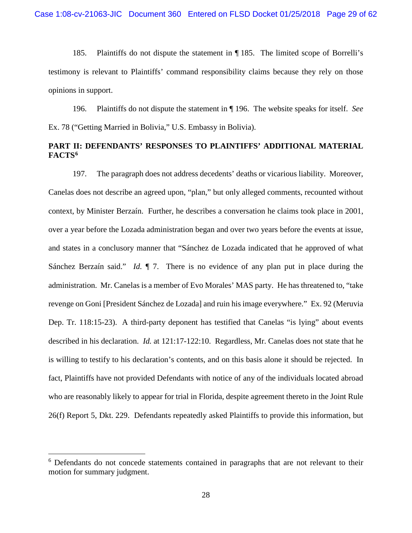185. Plaintiffs do not dispute the statement in ¶ 185. The limited scope of Borrelli's testimony is relevant to Plaintiffs' command responsibility claims because they rely on those opinions in support.

196. Plaintiffs do not dispute the statement in ¶ 196. The website speaks for itself. *See*  Ex. 78 ("Getting Married in Bolivia," U.S. Embassy in Bolivia).

## **PART II: DEFENDANTS' RESPONSES TO PLAINTIFFS' ADDITIONAL MATERIAL FACTS6**

197. The paragraph does not address decedents' deaths or vicarious liability. Moreover, Canelas does not describe an agreed upon, "plan," but only alleged comments, recounted without context, by Minister Berzaín. Further, he describes a conversation he claims took place in 2001, over a year before the Lozada administration began and over two years before the events at issue, and states in a conclusory manner that "Sánchez de Lozada indicated that he approved of what Sánchez Berzaín said." *Id.* ¶ 7. There is no evidence of any plan put in place during the administration. Mr. Canelas is a member of Evo Morales' MAS party. He has threatened to, "take revenge on Goni [President Sánchez de Lozada] and ruin his image everywhere." Ex. 92 (Meruvia Dep. Tr. 118:15-23). A third-party deponent has testified that Canelas "is lying" about events described in his declaration. *Id.* at 121:17-122:10. Regardless, Mr. Canelas does not state that he is willing to testify to his declaration's contents, and on this basis alone it should be rejected. In fact, Plaintiffs have not provided Defendants with notice of any of the individuals located abroad who are reasonably likely to appear for trial in Florida, despite agreement thereto in the Joint Rule 26(f) Report 5, Dkt. 229. Defendants repeatedly asked Plaintiffs to provide this information, but

<sup>&</sup>lt;sup>6</sup> Defendants do not concede statements contained in paragraphs that are not relevant to their motion for summary judgment.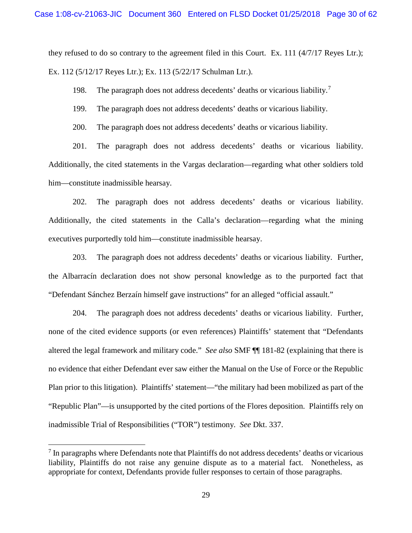they refused to do so contrary to the agreement filed in this Court. Ex. 111  $(4/7/17$  Reyes Ltr.); Ex. 112 (5/12/17 Reyes Ltr.); Ex. 113 (5/22/17 Schulman Ltr.).

198. The paragraph does not address decedents' deaths or vicarious liability.<sup>7</sup>

199. The paragraph does not address decedents' deaths or vicarious liability.

200. The paragraph does not address decedents' deaths or vicarious liability.

201. The paragraph does not address decedents' deaths or vicarious liability. Additionally, the cited statements in the Vargas declaration—regarding what other soldiers told him—constitute inadmissible hearsay.

202. The paragraph does not address decedents' deaths or vicarious liability. Additionally, the cited statements in the Calla's declaration—regarding what the mining executives purportedly told him—constitute inadmissible hearsay.

203. The paragraph does not address decedents' deaths or vicarious liability. Further, the Albarracín declaration does not show personal knowledge as to the purported fact that "Defendant Sánchez Berzaín himself gave instructions" for an alleged "official assault."

204. The paragraph does not address decedents' deaths or vicarious liability. Further, none of the cited evidence supports (or even references) Plaintiffs' statement that "Defendants altered the legal framework and military code." *See also* SMF ¶¶ 181-82 (explaining that there is no evidence that either Defendant ever saw either the Manual on the Use of Force or the Republic Plan prior to this litigation). Plaintiffs' statement—"the military had been mobilized as part of the "Republic Plan"—is unsupported by the cited portions of the Flores deposition. Plaintiffs rely on inadmissible Trial of Responsibilities ("TOR") testimony. *See* Dkt. 337.

 $\overline{a}$ 

 $<sup>7</sup>$  In paragraphs where Defendants note that Plaintiffs do not address decedents' deaths or vicarious</sup> liability, Plaintiffs do not raise any genuine dispute as to a material fact. Nonetheless, as appropriate for context, Defendants provide fuller responses to certain of those paragraphs.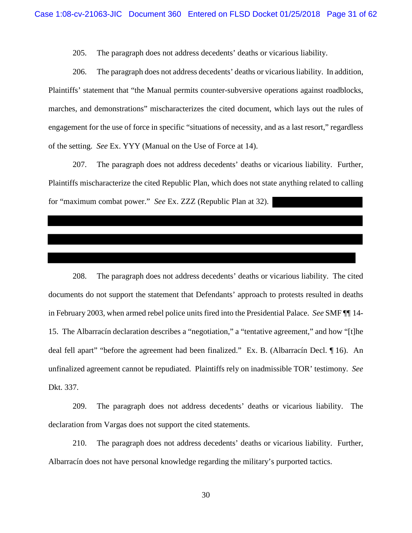205. The paragraph does not address decedents' deaths or vicarious liability.

206. The paragraph does not address decedents' deaths or vicarious liability. In addition, Plaintiffs' statement that "the Manual permits counter-subversive operations against roadblocks, marches, and demonstrations" mischaracterizes the cited document, which lays out the rules of engagement for the use of force in specific "situations of necessity, and as a last resort," regardless of the setting. *See* Ex. YYY (Manual on the Use of Force at 14).

207. The paragraph does not address decedents' deaths or vicarious liability. Further, Plaintiffs mischaracterize the cited Republic Plan, which does not state anything related to calling for "maximum combat power." *See* Ex. ZZZ (Republic Plan at 32).

208. The paragraph does not address decedents' deaths or vicarious liability. The cited documents do not support the statement that Defendants' approach to protests resulted in deaths in February 2003, when armed rebel police units fired into the Presidential Palace. *See* SMF ¶¶ 14- 15. The Albarracín declaration describes a "negotiation," a "tentative agreement," and how "[t]he deal fell apart" "before the agreement had been finalized." Ex. B. (Albarracín Decl. ¶ 16). An unfinalized agreement cannot be repudiated. Plaintiffs rely on inadmissible TOR' testimony. *See*  Dkt. 337.

209. The paragraph does not address decedents' deaths or vicarious liability. The declaration from Vargas does not support the cited statements.

210. The paragraph does not address decedents' deaths or vicarious liability. Further, Albarracín does not have personal knowledge regarding the military's purported tactics.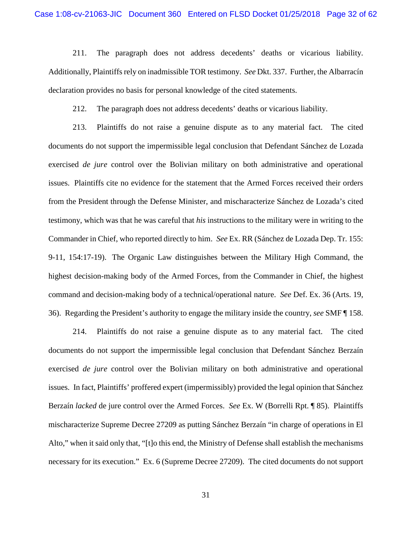211. The paragraph does not address decedents' deaths or vicarious liability. Additionally, Plaintiffs rely on inadmissible TOR testimony. *See* Dkt. 337. Further, the Albarracín declaration provides no basis for personal knowledge of the cited statements.

212. The paragraph does not address decedents' deaths or vicarious liability.

213. Plaintiffs do not raise a genuine dispute as to any material fact. The cited documents do not support the impermissible legal conclusion that Defendant Sánchez de Lozada exercised *de jure* control over the Bolivian military on both administrative and operational issues. Plaintiffs cite no evidence for the statement that the Armed Forces received their orders from the President through the Defense Minister, and mischaracterize Sánchez de Lozada's cited testimony, which was that he was careful that *his* instructions to the military were in writing to the Commander in Chief, who reported directly to him. *See* Ex. RR (Sánchez de Lozada Dep. Tr. 155: 9-11, 154:17-19). The Organic Law distinguishes between the Military High Command, the highest decision-making body of the Armed Forces, from the Commander in Chief, the highest command and decision-making body of a technical/operational nature. *See* Def. Ex. 36 (Arts. 19, 36). Regarding the President's authority to engage the military inside the country, *see* SMF ¶ 158.

214. Plaintiffs do not raise a genuine dispute as to any material fact. The cited documents do not support the impermissible legal conclusion that Defendant Sánchez Berzaín exercised *de jure* control over the Bolivian military on both administrative and operational issues. In fact, Plaintiffs' proffered expert (impermissibly) provided the legal opinion that Sánchez Berzaín *lacked* de jure control over the Armed Forces. *See* Ex. W (Borrelli Rpt. ¶ 85). Plaintiffs mischaracterize Supreme Decree 27209 as putting Sánchez Berzaín "in charge of operations in El Alto," when it said only that, "[t]o this end, the Ministry of Defense shall establish the mechanisms necessary for its execution." Ex. 6 (Supreme Decree 27209). The cited documents do not support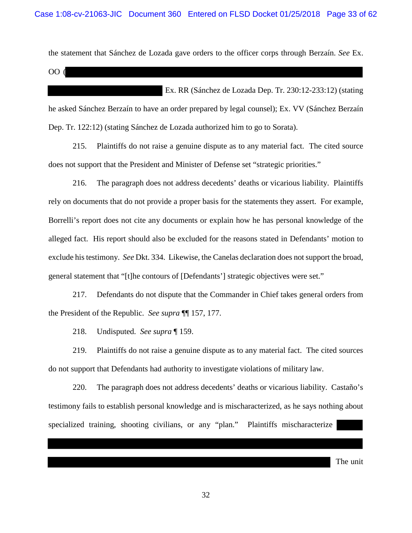the statement that Sánchez de Lozada gave orders to the officer corps through Berzaín. *See* Ex.

OO (

Ex. RR (Sánchez de Lozada Dep. Tr. 230:12-233:12) (stating he asked Sánchez Berzaín to have an order prepared by legal counsel); Ex. VV (Sánchez Berzaín Dep. Tr. 122:12) (stating Sánchez de Lozada authorized him to go to Sorata).

215. Plaintiffs do not raise a genuine dispute as to any material fact. The cited source does not support that the President and Minister of Defense set "strategic priorities."

216. The paragraph does not address decedents' deaths or vicarious liability. Plaintiffs rely on documents that do not provide a proper basis for the statements they assert. For example, Borrelli's report does not cite any documents or explain how he has personal knowledge of the alleged fact. His report should also be excluded for the reasons stated in Defendants' motion to exclude his testimony. *See* Dkt. 334. Likewise, the Canelas declaration does not support the broad, general statement that "[t]he contours of [Defendants'] strategic objectives were set."

217. Defendants do not dispute that the Commander in Chief takes general orders from the President of the Republic. *See supra* ¶¶ 157, 177.

218. Undisputed. *See supra* ¶ 159.

219. Plaintiffs do not raise a genuine dispute as to any material fact. The cited sources do not support that Defendants had authority to investigate violations of military law.

220. The paragraph does not address decedents' deaths or vicarious liability. Castaño's testimony fails to establish personal knowledge and is mischaracterized, as he says nothing about specialized training, shooting civilians, or any "plan." Plaintiffs mischaracterize

The unit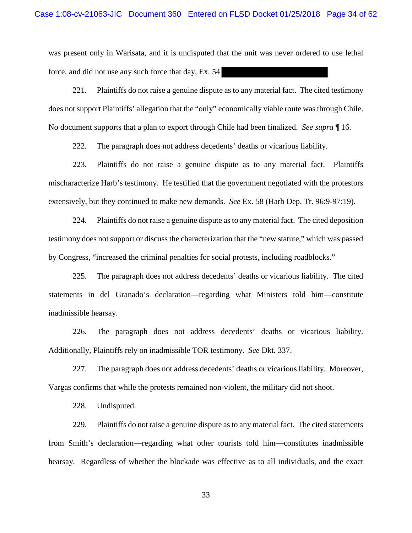was present only in Warisata, and it is undisputed that the unit was never ordered to use lethal force, and did not use any such force that day, Ex. 54

221. Plaintiffs do not raise a genuine dispute as to any material fact. The cited testimony does not support Plaintiffs' allegation that the "only" economically viable route was through Chile. No document supports that a plan to export through Chile had been finalized. *See supra* ¶ 16.

222. The paragraph does not address decedents' deaths or vicarious liability.

223. Plaintiffs do not raise a genuine dispute as to any material fact. Plaintiffs mischaracterize Harb's testimony. He testified that the government negotiated with the protestors extensively, but they continued to make new demands. *See* Ex. 58 (Harb Dep. Tr. 96:9-97:19).

224. Plaintiffs do not raise a genuine dispute as to any material fact. The cited deposition testimony does not support or discuss the characterization that the "new statute," which was passed by Congress, "increased the criminal penalties for social protests, including roadblocks."

225. The paragraph does not address decedents' deaths or vicarious liability. The cited statements in del Granado's declaration—regarding what Ministers told him—constitute inadmissible hearsay.

226. The paragraph does not address decedents' deaths or vicarious liability. Additionally, Plaintiffs rely on inadmissible TOR testimony. *See* Dkt. 337.

227. The paragraph does not address decedents' deaths or vicarious liability. Moreover, Vargas confirms that while the protests remained non-violent, the military did not shoot.

228. Undisputed.

229. Plaintiffs do not raise a genuine dispute as to any material fact. The cited statements from Smith's declaration—regarding what other tourists told him—constitutes inadmissible hearsay. Regardless of whether the blockade was effective as to all individuals, and the exact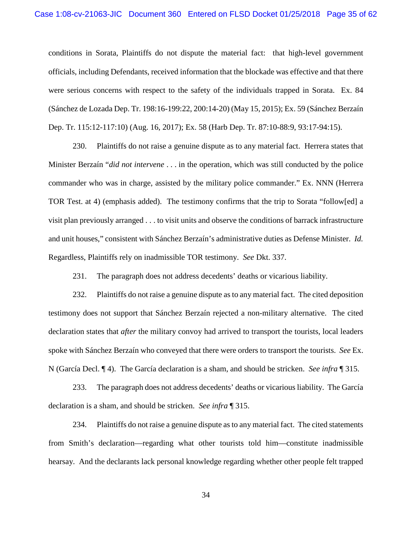conditions in Sorata, Plaintiffs do not dispute the material fact: that high-level government officials, including Defendants, received information that the blockade was effective and that there were serious concerns with respect to the safety of the individuals trapped in Sorata. Ex. 84 (Sánchez de Lozada Dep. Tr. 198:16-199:22, 200:14-20) (May 15, 2015); Ex. 59 (Sánchez Berzaín Dep. Tr. 115:12-117:10) (Aug. 16, 2017); Ex. 58 (Harb Dep. Tr. 87:10-88:9, 93:17-94:15).

230. Plaintiffs do not raise a genuine dispute as to any material fact. Herrera states that Minister Berzaín "*did not intervene* . . . in the operation, which was still conducted by the police commander who was in charge, assisted by the military police commander." Ex. NNN (Herrera TOR Test. at 4) (emphasis added). The testimony confirms that the trip to Sorata "follow[ed] a visit plan previously arranged . . . to visit units and observe the conditions of barrack infrastructure and unit houses," consistent with Sánchez Berzaín's administrative duties as Defense Minister. *Id.*  Regardless, Plaintiffs rely on inadmissible TOR testimony. *See* Dkt. 337.

231. The paragraph does not address decedents' deaths or vicarious liability.

232. Plaintiffs do not raise a genuine dispute as to any material fact. The cited deposition testimony does not support that Sánchez Berzaín rejected a non-military alternative. The cited declaration states that *after* the military convoy had arrived to transport the tourists, local leaders spoke with Sánchez Berzaín who conveyed that there were orders to transport the tourists. *See* Ex. N (García Decl. ¶ 4). The García declaration is a sham, and should be stricken. *See infra* ¶ 315.

233. The paragraph does not address decedents' deaths or vicarious liability. The García declaration is a sham, and should be stricken. *See infra* ¶ 315.

234. Plaintiffs do not raise a genuine dispute as to any material fact. The cited statements from Smith's declaration—regarding what other tourists told him—constitute inadmissible hearsay. And the declarants lack personal knowledge regarding whether other people felt trapped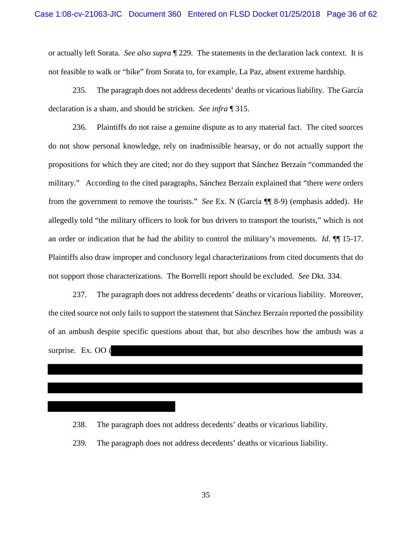or actually left Sorata. *See also supra* ¶ 229. The statements in the declaration lack context. It is not feasible to walk or "hike" from Sorata to, for example, La Paz, absent extreme hardship.

235. The paragraph does not address decedents' deaths or vicarious liability. The García declaration is a sham, and should be stricken. *See infra* ¶ 315.

236. Plaintiffs do not raise a genuine dispute as to any material fact. The cited sources do not show personal knowledge, rely on inadmissible hearsay, or do not actually support the propositions for which they are cited; nor do they support that Sánchez Berzaín "commanded the military." According to the cited paragraphs, Sánchez Berzaín explained that "there *were* orders from the government to remove the tourists." *See* Ex. N (García ¶¶ 8-9) (emphasis added). He allegedly told "the military officers to look for bus drivers to transport the tourists," which is not an order or indication that he had the ability to control the military's movements. *Id.* ¶¶ 15-17. Plaintiffs also draw improper and conclusory legal characterizations from cited documents that do not support those characterizations. The Borrelli report should be excluded. *See* Dkt. 334.

237. The paragraph does not address decedents' deaths or vicarious liability. Moreover, the cited source not only fails to support the statement that Sánchez Berzaín reported the possibility of an ambush despite specific questions about that, but also describes how the ambush was a surprise. Ex. OO (

238. The paragraph does not address decedents' deaths or vicarious liability.

239. The paragraph does not address decedents' deaths or vicarious liability.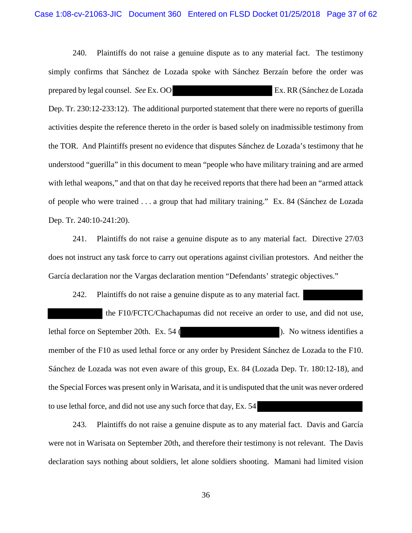240. Plaintiffs do not raise a genuine dispute as to any material fact. The testimony simply confirms that Sánchez de Lozada spoke with Sánchez Berzaín before the order was prepared by legal counsel. *See* Ex. OO Ex. RR (Sánchez de Lozada Dep. Tr. 230:12-233:12). The additional purported statement that there were no reports of guerilla activities despite the reference thereto in the order is based solely on inadmissible testimony from the TOR. And Plaintiffs present no evidence that disputes Sánchez de Lozada's testimony that he understood "guerilla" in this document to mean "people who have military training and are armed with lethal weapons," and that on that day he received reports that there had been an "armed attack of people who were trained . . . a group that had military training." Ex. 84 (Sánchez de Lozada Dep. Tr. 240:10-241:20).

241. Plaintiffs do not raise a genuine dispute as to any material fact. Directive 27/03 does not instruct any task force to carry out operations against civilian protestors. And neither the García declaration nor the Vargas declaration mention "Defendants' strategic objectives."

242. Plaintiffs do not raise a genuine dispute as to any material fact.

the F10/FCTC/Chachapumas did not receive an order to use, and did not use, lethal force on September 20th. Ex. 54 ( ). No witness identifies a member of the F10 as used lethal force or any order by President Sánchez de Lozada to the F10. Sánchez de Lozada was not even aware of this group, Ex. 84 (Lozada Dep. Tr. 180:12-18), and the Special Forces was present only in Warisata, and it is undisputed that the unit was never ordered to use lethal force, and did not use any such force that day, Ex. 54

243. Plaintiffs do not raise a genuine dispute as to any material fact. Davis and García were not in Warisata on September 20th, and therefore their testimony is not relevant. The Davis declaration says nothing about soldiers, let alone soldiers shooting. Mamani had limited vision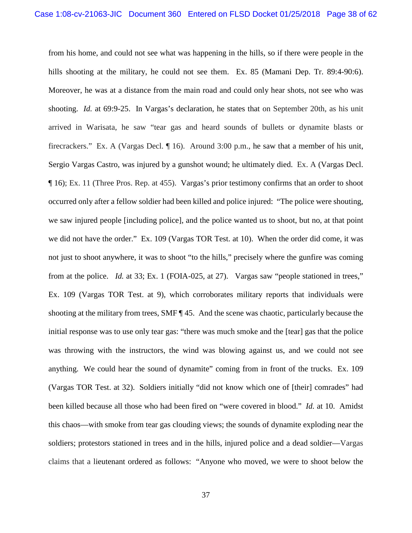from his home, and could not see what was happening in the hills, so if there were people in the hills shooting at the military, he could not see them. Ex. 85 (Mamani Dep. Tr. 89:4-90:6). Moreover, he was at a distance from the main road and could only hear shots, not see who was shooting. *Id.* at 69:9-25. In Vargas's declaration, he states that on September 20th, as his unit arrived in Warisata, he saw "tear gas and heard sounds of bullets or dynamite blasts or firecrackers." Ex. A (Vargas Decl. ¶ 16). Around 3:00 p.m., he saw that a member of his unit, Sergio Vargas Castro, was injured by a gunshot wound; he ultimately died. Ex. A (Vargas Decl. ¶ 16); Ex. 11 (Three Pros. Rep. at 455). Vargas's prior testimony confirms that an order to shoot occurred only after a fellow soldier had been killed and police injured: "The police were shouting, we saw injured people [including police], and the police wanted us to shoot, but no, at that point we did not have the order." Ex. 109 (Vargas TOR Test. at 10). When the order did come, it was not just to shoot anywhere, it was to shoot "to the hills," precisely where the gunfire was coming from at the police. *Id.* at 33; Ex. 1 (FOIA-025, at 27). Vargas saw "people stationed in trees," Ex. 109 (Vargas TOR Test. at 9), which corroborates military reports that individuals were shooting at the military from trees, SMF ¶ 45. And the scene was chaotic, particularly because the initial response was to use only tear gas: "there was much smoke and the [tear] gas that the police was throwing with the instructors, the wind was blowing against us, and we could not see anything. We could hear the sound of dynamite" coming from in front of the trucks. Ex. 109 (Vargas TOR Test. at 32). Soldiers initially "did not know which one of [their] comrades" had been killed because all those who had been fired on "were covered in blood." *Id.* at 10. Amidst this chaos—with smoke from tear gas clouding views; the sounds of dynamite exploding near the soldiers; protestors stationed in trees and in the hills, injured police and a dead soldier—Vargas claims that a lieutenant ordered as follows: "Anyone who moved, we were to shoot below the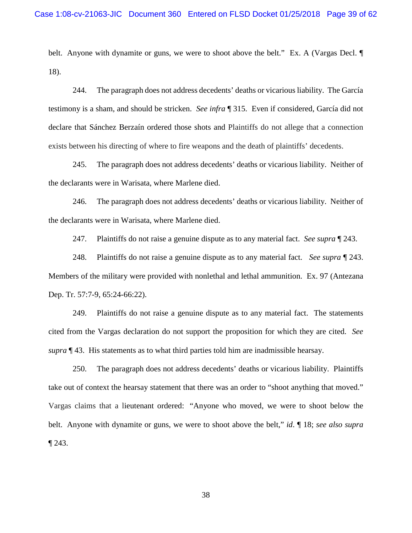belt. Anyone with dynamite or guns, we were to shoot above the belt." Ex. A (Vargas Decl.  $\P$ 18).

244. The paragraph does not address decedents' deaths or vicarious liability. The García testimony is a sham, and should be stricken. *See infra* ¶ 315. Even if considered, García did not declare that Sánchez Berzaín ordered those shots and Plaintiffs do not allege that a connection exists between his directing of where to fire weapons and the death of plaintiffs' decedents.

245. The paragraph does not address decedents' deaths or vicarious liability. Neither of the declarants were in Warisata, where Marlene died.

246. The paragraph does not address decedents' deaths or vicarious liability. Neither of the declarants were in Warisata, where Marlene died.

247. Plaintiffs do not raise a genuine dispute as to any material fact. *See supra* ¶ 243.

248. Plaintiffs do not raise a genuine dispute as to any material fact. *See supra* ¶ 243. Members of the military were provided with nonlethal and lethal ammunition. Ex. 97 (Antezana Dep. Tr. 57:7-9, 65:24-66:22).

249. Plaintiffs do not raise a genuine dispute as to any material fact. The statements cited from the Vargas declaration do not support the proposition for which they are cited. *See supra* ¶ 43. His statements as to what third parties told him are inadmissible hearsay.

250. The paragraph does not address decedents' deaths or vicarious liability. Plaintiffs take out of context the hearsay statement that there was an order to "shoot anything that moved." Vargas claims that a lieutenant ordered: "Anyone who moved, we were to shoot below the belt. Anyone with dynamite or guns, we were to shoot above the belt," *id*. ¶ 18; *see also supra*  ¶ 243.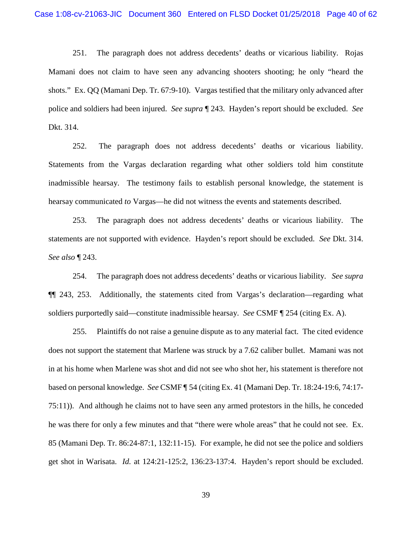251. The paragraph does not address decedents' deaths or vicarious liability. Rojas Mamani does not claim to have seen any advancing shooters shooting; he only "heard the shots." Ex. QQ (Mamani Dep. Tr. 67:9-10). Vargas testified that the military only advanced after police and soldiers had been injured. *See supra* ¶ 243. Hayden's report should be excluded. *See*  Dkt. 314.

252. The paragraph does not address decedents' deaths or vicarious liability. Statements from the Vargas declaration regarding what other soldiers told him constitute inadmissible hearsay. The testimony fails to establish personal knowledge, the statement is hearsay communicated *to* Vargas—he did not witness the events and statements described.

253. The paragraph does not address decedents' deaths or vicarious liability. The statements are not supported with evidence. Hayden's report should be excluded. *See* Dkt. 314. *See also* ¶ 243.

254. The paragraph does not address decedents' deaths or vicarious liability. *See supra* ¶¶ 243, 253. Additionally, the statements cited from Vargas's declaration—regarding what soldiers purportedly said—constitute inadmissible hearsay. *See* CSMF ¶ 254 (citing Ex. A).

255. Plaintiffs do not raise a genuine dispute as to any material fact. The cited evidence does not support the statement that Marlene was struck by a 7.62 caliber bullet. Mamani was not in at his home when Marlene was shot and did not see who shot her, his statement is therefore not based on personal knowledge. *See* CSMF ¶ 54 (citing Ex. 41 (Mamani Dep. Tr. 18:24-19:6, 74:17- 75:11)). And although he claims not to have seen any armed protestors in the hills, he conceded he was there for only a few minutes and that "there were whole areas" that he could not see. Ex. 85 (Mamani Dep. Tr. 86:24-87:1, 132:11-15). For example, he did not see the police and soldiers get shot in Warisata. *Id.* at 124:21-125:2, 136:23-137:4. Hayden's report should be excluded.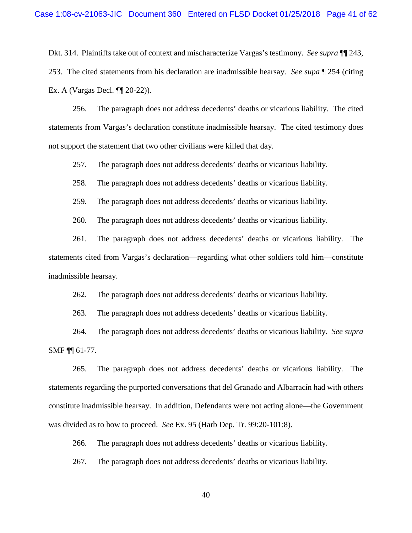Dkt. 314. Plaintiffs take out of context and mischaracterize Vargas's testimony. *See supra* ¶¶ 243, 253. The cited statements from his declaration are inadmissible hearsay. *See supa* ¶ 254 (citing Ex. A (Vargas Decl. ¶¶ 20-22)).

256. The paragraph does not address decedents' deaths or vicarious liability. The cited statements from Vargas's declaration constitute inadmissible hearsay. The cited testimony does not support the statement that two other civilians were killed that day.

257. The paragraph does not address decedents' deaths or vicarious liability.

258. The paragraph does not address decedents' deaths or vicarious liability.

259. The paragraph does not address decedents' deaths or vicarious liability.

260. The paragraph does not address decedents' deaths or vicarious liability.

261. The paragraph does not address decedents' deaths or vicarious liability. The statements cited from Vargas's declaration—regarding what other soldiers told him—constitute inadmissible hearsay.

262. The paragraph does not address decedents' deaths or vicarious liability.

263. The paragraph does not address decedents' deaths or vicarious liability.

264. The paragraph does not address decedents' deaths or vicarious liability. *See supra*  SMF ¶¶ 61-77.

265. The paragraph does not address decedents' deaths or vicarious liability. The statements regarding the purported conversations that del Granado and Albarracín had with others constitute inadmissible hearsay. In addition, Defendants were not acting alone—the Government was divided as to how to proceed. *See* Ex. 95 (Harb Dep. Tr. 99:20-101:8).

266. The paragraph does not address decedents' deaths or vicarious liability.

267. The paragraph does not address decedents' deaths or vicarious liability.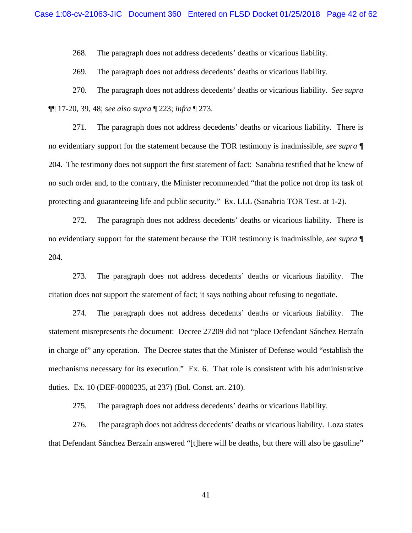268. The paragraph does not address decedents' deaths or vicarious liability.

269. The paragraph does not address decedents' deaths or vicarious liability.

270. The paragraph does not address decedents' deaths or vicarious liability. *See supra*  ¶¶ 17-20, 39, 48; *see also supra* ¶ 223; *infra* ¶ 273.

271. The paragraph does not address decedents' deaths or vicarious liability. There is no evidentiary support for the statement because the TOR testimony is inadmissible, *see supra* ¶ 204. The testimony does not support the first statement of fact: Sanabria testified that he knew of no such order and, to the contrary, the Minister recommended "that the police not drop its task of protecting and guaranteeing life and public security." Ex. LLL (Sanabria TOR Test. at 1-2).

272. The paragraph does not address decedents' deaths or vicarious liability. There is no evidentiary support for the statement because the TOR testimony is inadmissible, *see supra* ¶ 204.

273. The paragraph does not address decedents' deaths or vicarious liability. The citation does not support the statement of fact; it says nothing about refusing to negotiate.

274. The paragraph does not address decedents' deaths or vicarious liability. The statement misrepresents the document: Decree 27209 did not "place Defendant Sánchez Berzaín in charge of" any operation. The Decree states that the Minister of Defense would "establish the mechanisms necessary for its execution." Ex. 6. That role is consistent with his administrative duties. Ex. 10 (DEF-0000235, at 237) (Bol. Const. art. 210).

275. The paragraph does not address decedents' deaths or vicarious liability.

276. The paragraph does not address decedents' deaths or vicarious liability. Loza states that Defendant Sánchez Berzaín answered "[t]here will be deaths, but there will also be gasoline"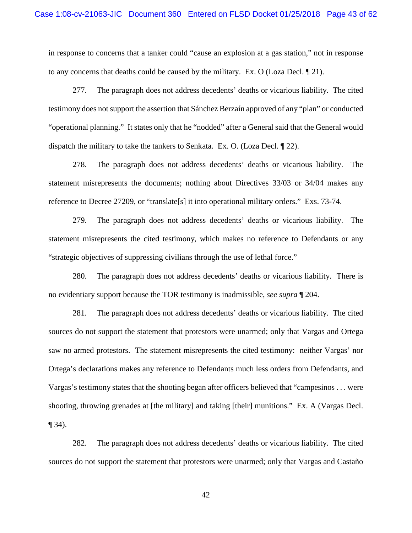in response to concerns that a tanker could "cause an explosion at a gas station," not in response to any concerns that deaths could be caused by the military. Ex. O (Loza Decl. ¶ 21).

277. The paragraph does not address decedents' deaths or vicarious liability. The cited testimony does not support the assertion that Sánchez Berzaín approved of any "plan" or conducted "operational planning." It states only that he "nodded" after a General said that the General would dispatch the military to take the tankers to Senkata. Ex. O. (Loza Decl. ¶ 22).

278. The paragraph does not address decedents' deaths or vicarious liability. The statement misrepresents the documents; nothing about Directives 33/03 or 34/04 makes any reference to Decree 27209, or "translate[s] it into operational military orders." Exs. 73-74.

279. The paragraph does not address decedents' deaths or vicarious liability. The statement misrepresents the cited testimony, which makes no reference to Defendants or any "strategic objectives of suppressing civilians through the use of lethal force."

280. The paragraph does not address decedents' deaths or vicarious liability. There is no evidentiary support because the TOR testimony is inadmissible, *see supra* ¶ 204.

281. The paragraph does not address decedents' deaths or vicarious liability. The cited sources do not support the statement that protestors were unarmed; only that Vargas and Ortega saw no armed protestors. The statement misrepresents the cited testimony: neither Vargas' nor Ortega's declarations makes any reference to Defendants much less orders from Defendants, and Vargas's testimony states that the shooting began after officers believed that "campesinos . . . were shooting, throwing grenades at [the military] and taking [their] munitions." Ex. A (Vargas Decl.  $\P$  34).

282. The paragraph does not address decedents' deaths or vicarious liability. The cited sources do not support the statement that protestors were unarmed; only that Vargas and Castaño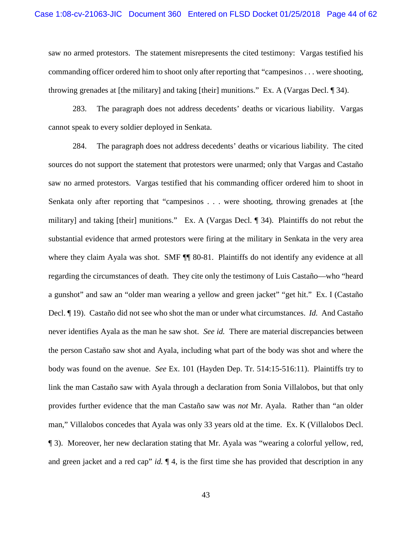saw no armed protestors. The statement misrepresents the cited testimony: Vargas testified his commanding officer ordered him to shoot only after reporting that "campesinos . . . were shooting, throwing grenades at [the military] and taking [their] munitions." Ex. A (Vargas Decl. ¶ 34).

283. The paragraph does not address decedents' deaths or vicarious liability. Vargas cannot speak to every soldier deployed in Senkata.

284. The paragraph does not address decedents' deaths or vicarious liability. The cited sources do not support the statement that protestors were unarmed; only that Vargas and Castaño saw no armed protestors. Vargas testified that his commanding officer ordered him to shoot in Senkata only after reporting that "campesinos . . . were shooting, throwing grenades at [the military] and taking [their] munitions." Ex. A (Vargas Decl. ¶ 34). Plaintiffs do not rebut the substantial evidence that armed protestors were firing at the military in Senkata in the very area where they claim Ayala was shot. SMF  $\P\P$  80-81. Plaintiffs do not identify any evidence at all regarding the circumstances of death. They cite only the testimony of Luis Castaño—who "heard a gunshot" and saw an "older man wearing a yellow and green jacket" "get hit." Ex. I (Castaño Decl. ¶ 19). Castaño did not see who shot the man or under what circumstances. *Id.* And Castaño never identifies Ayala as the man he saw shot. *See id.* There are material discrepancies between the person Castaño saw shot and Ayala, including what part of the body was shot and where the body was found on the avenue. *See* Ex. 101 (Hayden Dep. Tr. 514:15-516:11). Plaintiffs try to link the man Castaño saw with Ayala through a declaration from Sonia Villalobos, but that only provides further evidence that the man Castaño saw was *not* Mr. Ayala. Rather than "an older man," Villalobos concedes that Ayala was only 33 years old at the time. Ex. K (Villalobos Decl. ¶ 3). Moreover, her new declaration stating that Mr. Ayala was "wearing a colorful yellow, red, and green jacket and a red cap" *id.*  $\P$  4, is the first time she has provided that description in any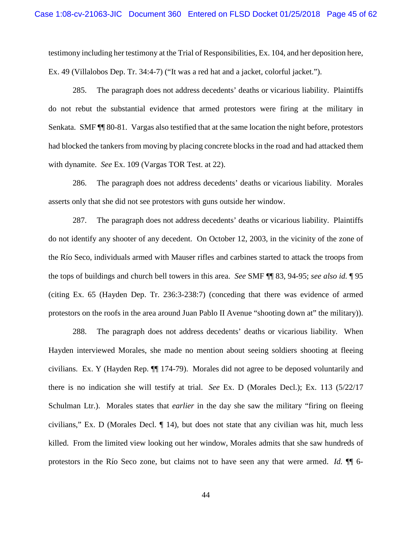testimony including her testimony at the Trial of Responsibilities, Ex. 104, and her deposition here, Ex. 49 (Villalobos Dep. Tr. 34:4-7) ("It was a red hat and a jacket, colorful jacket.").

285. The paragraph does not address decedents' deaths or vicarious liability. Plaintiffs do not rebut the substantial evidence that armed protestors were firing at the military in Senkata. SMF ¶¶ 80-81. Vargas also testified that at the same location the night before, protestors had blocked the tankers from moving by placing concrete blocks in the road and had attacked them with dynamite. *See* Ex. 109 (Vargas TOR Test. at 22).

286. The paragraph does not address decedents' deaths or vicarious liability. Morales asserts only that she did not see protestors with guns outside her window.

287. The paragraph does not address decedents' deaths or vicarious liability. Plaintiffs do not identify any shooter of any decedent. On October 12, 2003, in the vicinity of the zone of the Río Seco, individuals armed with Mauser rifles and carbines started to attack the troops from the tops of buildings and church bell towers in this area. *See* SMF ¶¶ 83, 94-95; *see also id.* ¶ 95 (citing Ex. 65 (Hayden Dep. Tr. 236:3-238:7) (conceding that there was evidence of armed protestors on the roofs in the area around Juan Pablo II Avenue "shooting down at" the military)).

288. The paragraph does not address decedents' deaths or vicarious liability. When Hayden interviewed Morales, she made no mention about seeing soldiers shooting at fleeing civilians. Ex. Y (Hayden Rep. ¶¶ 174-79). Morales did not agree to be deposed voluntarily and there is no indication she will testify at trial. *See* Ex. D (Morales Decl.); Ex. 113 (5/22/17 Schulman Ltr.). Morales states that *earlier* in the day she saw the military "firing on fleeing civilians," Ex. D (Morales Decl. ¶ 14), but does not state that any civilian was hit, much less killed. From the limited view looking out her window, Morales admits that she saw hundreds of protestors in the Río Seco zone, but claims not to have seen any that were armed. *Id.* ¶¶ 6-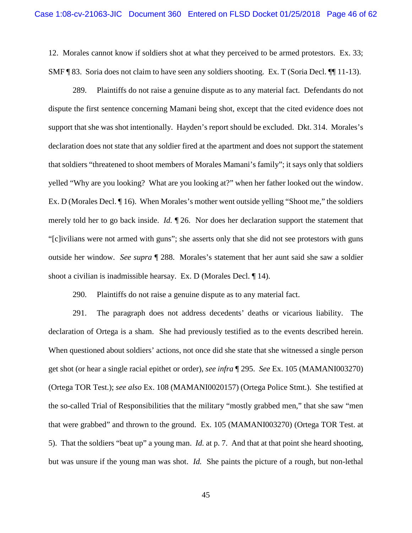12. Morales cannot know if soldiers shot at what they perceived to be armed protestors. Ex. 33; SMF ¶ 83. Soria does not claim to have seen any soldiers shooting. Ex. T (Soria Decl. ¶¶ 11-13).

289. Plaintiffs do not raise a genuine dispute as to any material fact. Defendants do not dispute the first sentence concerning Mamani being shot, except that the cited evidence does not support that she was shot intentionally. Hayden's report should be excluded. Dkt. 314. Morales's declaration does not state that any soldier fired at the apartment and does not support the statement that soldiers "threatened to shoot members of Morales Mamani's family"; it says only that soldiers yelled "Why are you looking? What are you looking at?" when her father looked out the window. Ex. D (Morales Decl. ¶ 16). When Morales's mother went outside yelling "Shoot me," the soldiers merely told her to go back inside. *Id.* ¶ 26. Nor does her declaration support the statement that "[c]ivilians were not armed with guns"; she asserts only that she did not see protestors with guns outside her window. *See supra* ¶ 288. Morales's statement that her aunt said she saw a soldier shoot a civilian is inadmissible hearsay. Ex. D (Morales Decl. ¶ 14).

290. Plaintiffs do not raise a genuine dispute as to any material fact.

291. The paragraph does not address decedents' deaths or vicarious liability. The declaration of Ortega is a sham. She had previously testified as to the events described herein. When questioned about soldiers' actions, not once did she state that she witnessed a single person get shot (or hear a single racial epithet or order), *see infra* ¶ 295. *See* Ex. 105 (MAMANI003270) (Ortega TOR Test.); *see also* Ex. 108 (MAMANI0020157) (Ortega Police Stmt.). She testified at the so-called Trial of Responsibilities that the military "mostly grabbed men," that she saw "men that were grabbed" and thrown to the ground. Ex. 105 (MAMANI003270) (Ortega TOR Test. at 5). That the soldiers "beat up" a young man. *Id.* at p. 7. And that at that point she heard shooting, but was unsure if the young man was shot. *Id.* She paints the picture of a rough, but non-lethal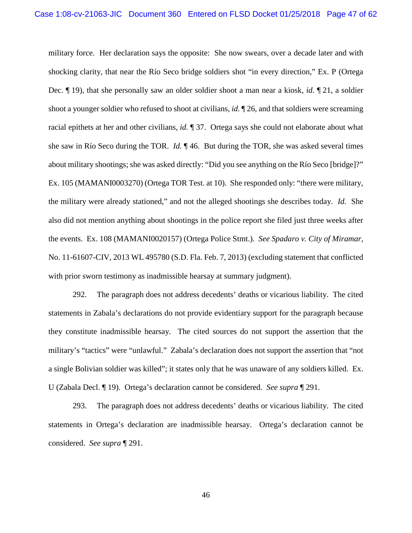military force. Her declaration says the opposite: She now swears, over a decade later and with shocking clarity, that near the Río Seco bridge soldiers shot "in every direction," Ex. P (Ortega Dec. ¶ 19), that she personally saw an older soldier shoot a man near a kiosk, *id.* ¶ 21, a soldier shoot a younger soldier who refused to shoot at civilians, *id.* ¶ 26, and that soldiers were screaming racial epithets at her and other civilians, *id.* ¶ 37. Ortega says she could not elaborate about what she saw in Río Seco during the TOR. *Id.* ¶ 46. But during the TOR, she was asked several times about military shootings; she was asked directly: "Did you see anything on the Río Seco [bridge]?" Ex. 105 (MAMANI0003270) (Ortega TOR Test. at 10). She responded only: "there were military, the military were already stationed," and not the alleged shootings she describes today. *Id.* She also did not mention anything about shootings in the police report she filed just three weeks after the events. Ex. 108 (MAMANI0020157) (Ortega Police Stmt.). *See Spadaro v. City of Miramar*, No. 11-61607-CIV, 2013 WL 495780 (S.D. Fla. Feb. 7, 2013) (excluding statement that conflicted with prior sworn testimony as inadmissible hearsay at summary judgment).

292. The paragraph does not address decedents' deaths or vicarious liability. The cited statements in Zabala's declarations do not provide evidentiary support for the paragraph because they constitute inadmissible hearsay. The cited sources do not support the assertion that the military's "tactics" were "unlawful." Zabala's declaration does not support the assertion that "not a single Bolivian soldier was killed"; it states only that he was unaware of any soldiers killed. Ex. U (Zabala Decl. ¶ 19). Ortega's declaration cannot be considered. *See supra* ¶ 291.

293. The paragraph does not address decedents' deaths or vicarious liability. The cited statements in Ortega's declaration are inadmissible hearsay. Ortega's declaration cannot be considered. *See supra* ¶ 291.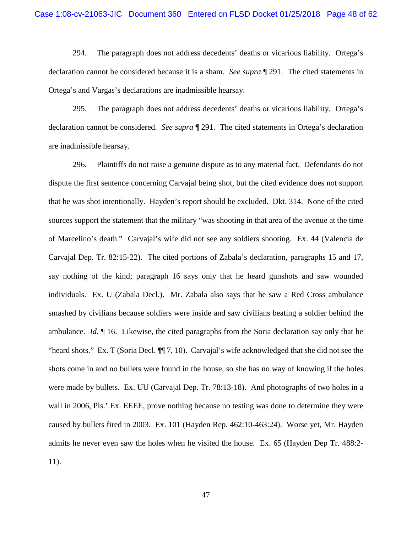294. The paragraph does not address decedents' deaths or vicarious liability. Ortega's declaration cannot be considered because it is a sham. *See supra* ¶ 291. The cited statements in Ortega's and Vargas's declarations are inadmissible hearsay.

295. The paragraph does not address decedents' deaths or vicarious liability. Ortega's declaration cannot be considered. *See supra* ¶ 291. The cited statements in Ortega's declaration are inadmissible hearsay.

296. Plaintiffs do not raise a genuine dispute as to any material fact. Defendants do not dispute the first sentence concerning Carvajal being shot, but the cited evidence does not support that he was shot intentionally. Hayden's report should be excluded. Dkt. 314. None of the cited sources support the statement that the military "was shooting in that area of the avenue at the time of Marcelino's death." Carvajal's wife did not see any soldiers shooting. Ex. 44 (Valencia de Carvajal Dep. Tr. 82:15-22). The cited portions of Zabala's declaration, paragraphs 15 and 17, say nothing of the kind; paragraph 16 says only that he heard gunshots and saw wounded individuals. Ex. U (Zabala Decl.). Mr. Zabala also says that he saw a Red Cross ambulance smashed by civilians because soldiers were inside and saw civilians beating a soldier behind the ambulance. *Id.* ¶ 16. Likewise, the cited paragraphs from the Soria declaration say only that he "heard shots." Ex. T (Soria Decl. ¶¶ 7, 10). Carvajal's wife acknowledged that she did not see the shots come in and no bullets were found in the house, so she has no way of knowing if the holes were made by bullets. Ex. UU (Carvajal Dep. Tr. 78:13-18). And photographs of two holes in a wall in 2006, Pls.' Ex. EEEE, prove nothing because no testing was done to determine they were caused by bullets fired in 2003. Ex. 101 (Hayden Rep. 462:10-463:24). Worse yet, Mr. Hayden admits he never even saw the holes when he visited the house. Ex. 65 (Hayden Dep Tr. 488:2- 11).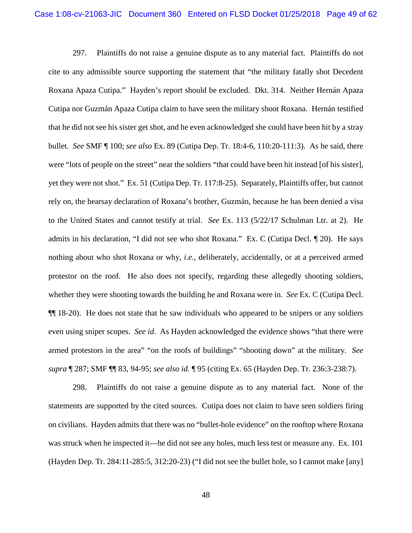297. Plaintiffs do not raise a genuine dispute as to any material fact. Plaintiffs do not cite to any admissible source supporting the statement that "the military fatally shot Decedent Roxana Apaza Cutipa." Hayden's report should be excluded. Dkt. 314. Neither Hernán Apaza Cutipa nor Guzmán Apaza Cutipa claim to have seen the military shoot Roxana. Hernán testified that he did not see his sister get shot, and he even acknowledged she could have been hit by a stray bullet. *See* SMF ¶ 100; *see also* Ex. 89 (Cutipa Dep. Tr. 18:4-6, 110:20-111:3). As he said, there were "lots of people on the street" near the soldiers "that could have been hit instead [of his sister], yet they were not shot." Ex. 51 (Cutipa Dep. Tr. 117:8-25). Separately, Plaintiffs offer, but cannot rely on, the hearsay declaration of Roxana's brother, Guzmán, because he has been denied a visa to the United States and cannot testify at trial. *See* Ex. 113 (5/22/17 Schulman Ltr. at 2). He admits in his declaration, "I did not see who shot Roxana." Ex. C (Cutipa Decl. ¶ 20). He says nothing about who shot Roxana or why, *i.e.*, deliberately, accidentally, or at a perceived armed protestor on the roof. He also does not specify, regarding these allegedly shooting soldiers, whether they were shooting towards the building he and Roxana were in. *See* Ex. C (Cutipa Decl. ¶¶ 18-20). He does not state that he saw individuals who appeared to be snipers or any soldiers even using sniper scopes. *See id*. As Hayden acknowledged the evidence shows "that there were armed protestors in the area" "on the roofs of buildings" "shooting down" at the military. *See supra* ¶ 287; SMF ¶¶ 83, 94-95; *see also id.* ¶ 95 (citing Ex. 65 (Hayden Dep. Tr. 236:3-238:7).

298. Plaintiffs do not raise a genuine dispute as to any material fact. None of the statements are supported by the cited sources. Cutipa does not claim to have seen soldiers firing on civilians. Hayden admits that there was no "bullet-hole evidence" on the rooftop where Roxana was struck when he inspected it—he did not see any holes, much less test or measure any. Ex. 101 (Hayden Dep. Tr. 284:11-285:5, 312:20-23) ("I did not see the bullet hole, so I cannot make [any]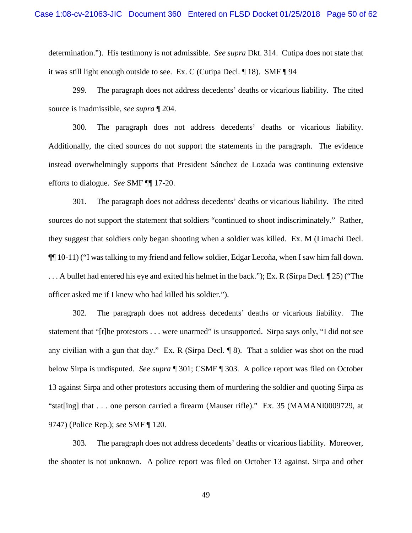determination."). His testimony is not admissible. *See supra* Dkt. 314. Cutipa does not state that it was still light enough outside to see. Ex. C (Cutipa Decl. ¶ 18). SMF ¶ 94

299. The paragraph does not address decedents' deaths or vicarious liability. The cited source is inadmissible, *see supra* ¶ 204.

300. The paragraph does not address decedents' deaths or vicarious liability. Additionally, the cited sources do not support the statements in the paragraph. The evidence instead overwhelmingly supports that President Sánchez de Lozada was continuing extensive efforts to dialogue. *See* SMF ¶¶ 17-20.

301. The paragraph does not address decedents' deaths or vicarious liability. The cited sources do not support the statement that soldiers "continued to shoot indiscriminately." Rather, they suggest that soldiers only began shooting when a soldier was killed. Ex. M (Limachi Decl. ¶¶ 10-11) ("I was talking to my friend and fellow soldier, Edgar Lecoña, when I saw him fall down. . . . A bullet had entered his eye and exited his helmet in the back."); Ex. R (Sirpa Decl. ¶ 25) ("The officer asked me if I knew who had killed his soldier.").

302. The paragraph does not address decedents' deaths or vicarious liability. The statement that "[t]he protestors . . . were unarmed" is unsupported. Sirpa says only, "I did not see any civilian with a gun that day." Ex. R (Sirpa Decl. ¶ 8). That a soldier was shot on the road below Sirpa is undisputed. *See supra* ¶ 301; CSMF ¶ 303. A police report was filed on October 13 against Sirpa and other protestors accusing them of murdering the soldier and quoting Sirpa as "stat[ing] that . . . one person carried a firearm (Mauser rifle)." Ex. 35 (MAMANI0009729, at 9747) (Police Rep.); *see* SMF ¶ 120.

303. The paragraph does not address decedents' deaths or vicarious liability. Moreover, the shooter is not unknown. A police report was filed on October 13 against. Sirpa and other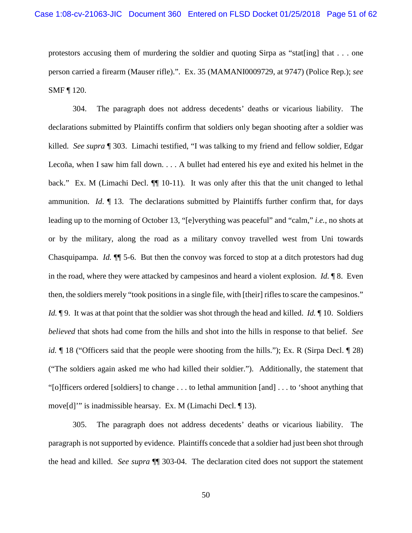protestors accusing them of murdering the soldier and quoting Sirpa as "stat[ing] that  $\dots$  one person carried a firearm (Mauser rifle).". Ex. 35 (MAMANI0009729, at 9747) (Police Rep.); *see*  SMF ¶ 120.

304. The paragraph does not address decedents' deaths or vicarious liability. The declarations submitted by Plaintiffs confirm that soldiers only began shooting after a soldier was killed. *See supra* ¶ 303. Limachi testified, "I was talking to my friend and fellow soldier, Edgar Lecoña, when I saw him fall down. . . . A bullet had entered his eye and exited his helmet in the back." Ex. M (Limachi Decl.  $\P$ [10-11). It was only after this that the unit changed to lethal ammunition. *Id*. ¶ 13. The declarations submitted by Plaintiffs further confirm that, for days leading up to the morning of October 13, "[e]verything was peaceful" and "calm," *i.e.*, no shots at or by the military, along the road as a military convoy travelled west from Uni towards Chasquipampa. *Id.* ¶¶ 5-6. But then the convoy was forced to stop at a ditch protestors had dug in the road, where they were attacked by campesinos and heard a violent explosion. *Id.* ¶ 8. Even then, the soldiers merely "took positions in a single file, with [their] rifles to scare the campesinos." *Id.*  $\P$ 9. It was at that point that the soldier was shot through the head and killed. *Id.*  $\P$  10. Soldiers *believed* that shots had come from the hills and shot into the hills in response to that belief. *See id.*  $\parallel$  18 ("Officers said that the people were shooting from the hills."); Ex. R (Sirpa Decl.  $\parallel$  28) ("The soldiers again asked me who had killed their soldier."). Additionally, the statement that "[o]fficers ordered [soldiers] to change . . . to lethal ammunition [and] . . . to 'shoot anything that move[d]'" is inadmissible hearsay. Ex. M (Limachi Decl. ¶ 13).

305. The paragraph does not address decedents' deaths or vicarious liability. The paragraph is not supported by evidence. Plaintiffs concede that a soldier had just been shot through the head and killed. *See supra* ¶¶ 303-04. The declaration cited does not support the statement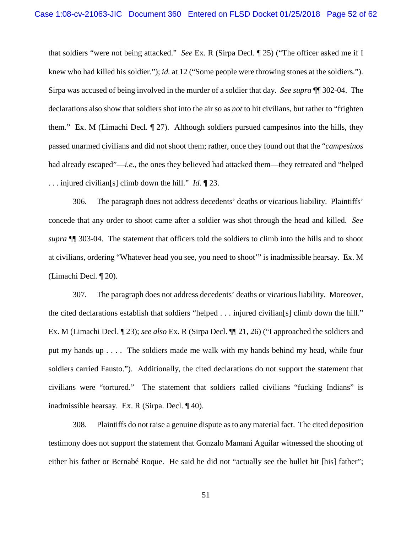that soldiers "were not being attacked." *See* Ex. R (Sirpa Decl. ¶ 25) ("The officer asked me if I knew who had killed his soldier."); *id.* at 12 ("Some people were throwing stones at the soldiers."). Sirpa was accused of being involved in the murder of a soldier that day. *See supra* ¶¶ 302-04. The declarations also show that soldiers shot into the air so as *not* to hit civilians, but rather to "frighten them." Ex. M (Limachi Decl. ¶ 27). Although soldiers pursued campesinos into the hills, they passed unarmed civilians and did not shoot them; rather, once they found out that the "*campesinos* had already escaped"—*i.e.*, the ones they believed had attacked them—they retreated and "helped . . . injured civilian[s] climb down the hill." *Id.* ¶ 23.

306. The paragraph does not address decedents' deaths or vicarious liability. Plaintiffs' concede that any order to shoot came after a soldier was shot through the head and killed. *See supra* ¶¶ 303-04. The statement that officers told the soldiers to climb into the hills and to shoot at civilians, ordering "Whatever head you see, you need to shoot'" is inadmissible hearsay. Ex. M (Limachi Decl. ¶ 20).

307. The paragraph does not address decedents' deaths or vicarious liability. Moreover, the cited declarations establish that soldiers "helped . . . injured civilian[s] climb down the hill." Ex. M (Limachi Decl. ¶ 23); *see also* Ex. R (Sirpa Decl. ¶¶ 21, 26) ("I approached the soldiers and put my hands up . . . . The soldiers made me walk with my hands behind my head, while four soldiers carried Fausto."). Additionally, the cited declarations do not support the statement that civilians were "tortured." The statement that soldiers called civilians "fucking Indians" is inadmissible hearsay. Ex. R (Sirpa. Decl. ¶ 40).

308. Plaintiffs do not raise a genuine dispute as to any material fact. The cited deposition testimony does not support the statement that Gonzalo Mamani Aguilar witnessed the shooting of either his father or Bernabé Roque. He said he did not "actually see the bullet hit [his] father";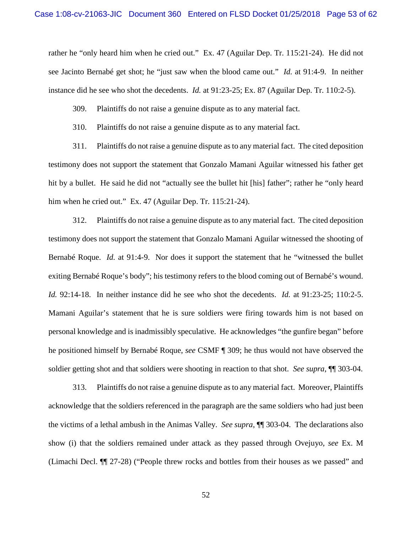rather he "only heard him when he cried out." Ex. 47 (Aguilar Dep. Tr. 115:21-24). He did not see Jacinto Bernabé get shot; he "just saw when the blood came out." *Id.* at 91:4-9. In neither instance did he see who shot the decedents. *Id.* at 91:23-25; Ex. 87 (Aguilar Dep. Tr. 110:2-5).

309. Plaintiffs do not raise a genuine dispute as to any material fact.

310. Plaintiffs do not raise a genuine dispute as to any material fact.

311. Plaintiffs do not raise a genuine dispute as to any material fact. The cited deposition testimony does not support the statement that Gonzalo Mamani Aguilar witnessed his father get hit by a bullet. He said he did not "actually see the bullet hit [his] father"; rather he "only heard him when he cried out." Ex. 47 (Aguilar Dep. Tr. 115:21-24).

312. Plaintiffs do not raise a genuine dispute as to any material fact. The cited deposition testimony does not support the statement that Gonzalo Mamani Aguilar witnessed the shooting of Bernabé Roque. *Id.* at 91:4-9. Nor does it support the statement that he "witnessed the bullet exiting Bernabé Roque's body"; his testimony refers to the blood coming out of Bernabé's wound. *Id.* 92:14-18. In neither instance did he see who shot the decedents. *Id.* at 91:23-25; 110:2-5. Mamani Aguilar's statement that he is sure soldiers were firing towards him is not based on personal knowledge and is inadmissibly speculative. He acknowledges "the gunfire began" before he positioned himself by Bernabé Roque, *see* CSMF ¶ 309; he thus would not have observed the soldier getting shot and that soldiers were shooting in reaction to that shot. *See supra*, ¶¶ 303-04.

313. Plaintiffs do not raise a genuine dispute as to any material fact. Moreover, Plaintiffs acknowledge that the soldiers referenced in the paragraph are the same soldiers who had just been the victims of a lethal ambush in the Animas Valley. *See supra*, ¶¶ 303-04. The declarations also show (i) that the soldiers remained under attack as they passed through Ovejuyo, *see* Ex. M (Limachi Decl. ¶¶ 27-28) ("People threw rocks and bottles from their houses as we passed" and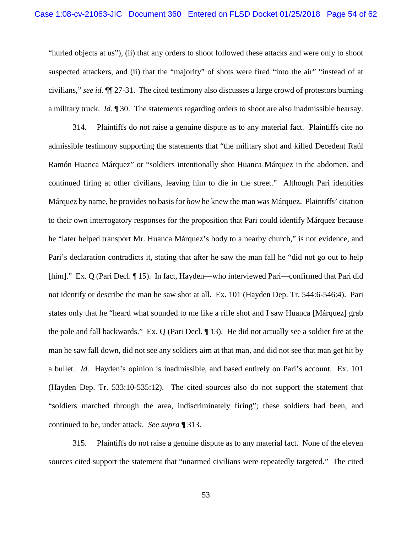"hurled objects at us"), (ii) that any orders to shoot followed these attacks and were only to shoot suspected attackers, and (ii) that the "majority" of shots were fired "into the air" "instead of at civilians," *see id.* ¶¶ 27-31. The cited testimony also discusses a large crowd of protestors burning a military truck. *Id.* ¶ 30. The statements regarding orders to shoot are also inadmissible hearsay.

314. Plaintiffs do not raise a genuine dispute as to any material fact. Plaintiffs cite no admissible testimony supporting the statements that "the military shot and killed Decedent Raúl Ramón Huanca Márquez" or "soldiers intentionally shot Huanca Márquez in the abdomen, and continued firing at other civilians, leaving him to die in the street." Although Pari identifies Márquez by name, he provides no basis for *how* he knew the man was Márquez. Plaintiffs' citation to their own interrogatory responses for the proposition that Pari could identify Márquez because he "later helped transport Mr. Huanca Márquez's body to a nearby church," is not evidence, and Pari's declaration contradicts it, stating that after he saw the man fall he "did not go out to help [him]." Ex. Q (Pari Decl. 15). In fact, Hayden—who interviewed Pari—confirmed that Pari did not identify or describe the man he saw shot at all. Ex. 101 (Hayden Dep. Tr. 544:6-546:4). Pari states only that he "heard what sounded to me like a rifle shot and I saw Huanca [Márquez] grab the pole and fall backwards." Ex. Q (Pari Decl. ¶ 13). He did not actually see a soldier fire at the man he saw fall down, did not see any soldiers aim at that man, and did not see that man get hit by a bullet. *Id.* Hayden's opinion is inadmissible, and based entirely on Pari's account. Ex. 101 (Hayden Dep. Tr. 533:10-535:12). The cited sources also do not support the statement that "soldiers marched through the area, indiscriminately firing"; these soldiers had been, and continued to be, under attack. *See supra* ¶ 313.

315. Plaintiffs do not raise a genuine dispute as to any material fact. None of the eleven sources cited support the statement that "unarmed civilians were repeatedly targeted." The cited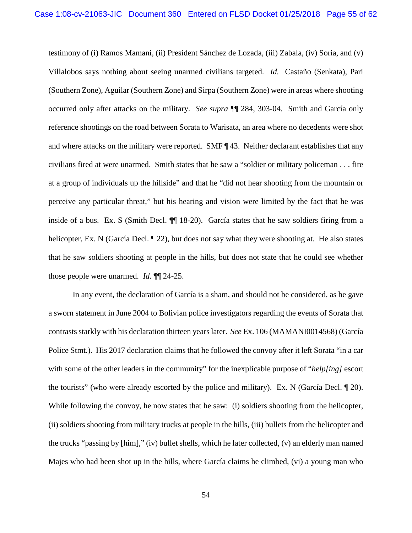testimony of (i) Ramos Mamani, (ii) President Sánchez de Lozada, (iii) Zabala, (iv) Soria, and (v) Villalobos says nothing about seeing unarmed civilians targeted. *Id.* Castaño (Senkata), Pari (Southern Zone), Aguilar (Southern Zone) and Sirpa (Southern Zone) were in areas where shooting occurred only after attacks on the military. *See supra* ¶¶ 284, 303-04. Smith and García only reference shootings on the road between Sorata to Warisata, an area where no decedents were shot and where attacks on the military were reported. SMF ¶ 43. Neither declarant establishes that any civilians fired at were unarmed. Smith states that he saw a "soldier or military policeman . . . fire at a group of individuals up the hillside" and that he "did not hear shooting from the mountain or perceive any particular threat," but his hearing and vision were limited by the fact that he was inside of a bus. Ex. S (Smith Decl. ¶¶ 18-20). García states that he saw soldiers firing from a helicopter, Ex. N (García Decl. ¶ 22), but does not say what they were shooting at. He also states that he saw soldiers shooting at people in the hills, but does not state that he could see whether those people were unarmed. *Id.* ¶¶ 24-25.

In any event, the declaration of García is a sham, and should not be considered, as he gave a sworn statement in June 2004 to Bolivian police investigators regarding the events of Sorata that contrasts starkly with his declaration thirteen years later. *See* Ex. 106 (MAMANI0014568) (García Police Stmt.). His 2017 declaration claims that he followed the convoy after it left Sorata "in a car with some of the other leaders in the community" for the inexplicable purpose of "*help[ing]* escort the tourists" (who were already escorted by the police and military). Ex. N (García Decl. ¶ 20). While following the convoy, he now states that he saw: (i) soldiers shooting from the helicopter, (ii) soldiers shooting from military trucks at people in the hills, (iii) bullets from the helicopter and the trucks "passing by [him]," (iv) bullet shells, which he later collected, (v) an elderly man named Majes who had been shot up in the hills, where García claims he climbed, (vi) a young man who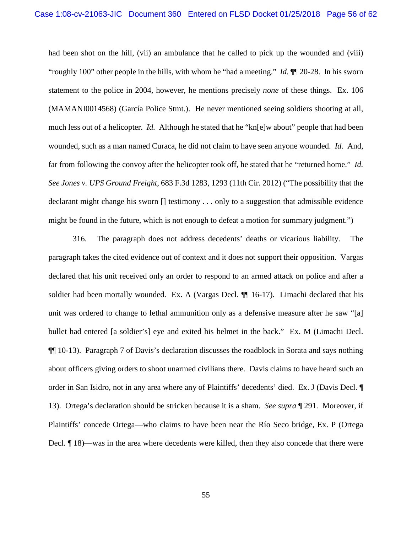had been shot on the hill, (vii) an ambulance that he called to pick up the wounded and (viii) "roughly 100" other people in the hills, with whom he "had a meeting." *Id.* ¶¶ 20-28. In his sworn statement to the police in 2004, however, he mentions precisely *none* of these things. Ex. 106 (MAMANI0014568) (García Police Stmt.). He never mentioned seeing soldiers shooting at all, much less out of a helicopter. *Id.* Although he stated that he "kn[e]w about" people that had been wounded, such as a man named Curaca, he did not claim to have seen anyone wounded. *Id.* And, far from following the convoy after the helicopter took off, he stated that he "returned home." *Id. See Jones v. UPS Ground Freight*, 683 F.3d 1283, 1293 (11th Cir. 2012) ("The possibility that the declarant might change his sworn [] testimony . . . only to a suggestion that admissible evidence might be found in the future, which is not enough to defeat a motion for summary judgment.")

316. The paragraph does not address decedents' deaths or vicarious liability. The paragraph takes the cited evidence out of context and it does not support their opposition. Vargas declared that his unit received only an order to respond to an armed attack on police and after a soldier had been mortally wounded. Ex. A (Vargas Decl. ¶¶ 16-17). Limachi declared that his unit was ordered to change to lethal ammunition only as a defensive measure after he saw "[a] bullet had entered [a soldier's] eye and exited his helmet in the back." Ex. M (Limachi Decl. ¶¶ 10-13). Paragraph 7 of Davis's declaration discusses the roadblock in Sorata and says nothing about officers giving orders to shoot unarmed civilians there. Davis claims to have heard such an order in San Isidro, not in any area where any of Plaintiffs' decedents' died. Ex. J (Davis Decl. ¶ 13). Ortega's declaration should be stricken because it is a sham. *See supra* ¶ 291. Moreover, if Plaintiffs' concede Ortega—who claims to have been near the Río Seco bridge, Ex. P (Ortega Decl. ¶ 18)—was in the area where decedents were killed, then they also concede that there were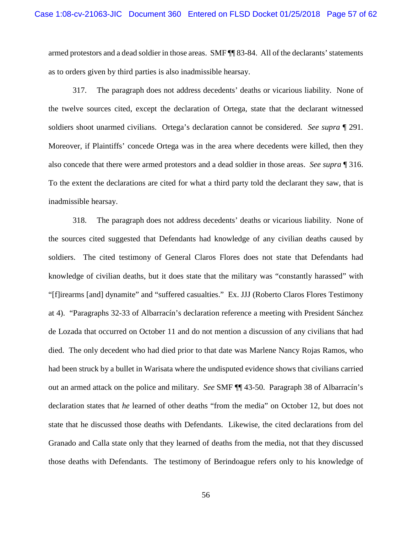armed protestors and a dead soldier in those areas. SMF ¶¶ 83-84. All of the declarants' statements as to orders given by third parties is also inadmissible hearsay.

317. The paragraph does not address decedents' deaths or vicarious liability. None of the twelve sources cited, except the declaration of Ortega, state that the declarant witnessed soldiers shoot unarmed civilians. Ortega's declaration cannot be considered. *See supra* ¶ 291. Moreover, if Plaintiffs' concede Ortega was in the area where decedents were killed, then they also concede that there were armed protestors and a dead soldier in those areas. *See supra* ¶ 316. To the extent the declarations are cited for what a third party told the declarant they saw, that is inadmissible hearsay.

318. The paragraph does not address decedents' deaths or vicarious liability. None of the sources cited suggested that Defendants had knowledge of any civilian deaths caused by soldiers. The cited testimony of General Claros Flores does not state that Defendants had knowledge of civilian deaths, but it does state that the military was "constantly harassed" with "[f]irearms [and] dynamite" and "suffered casualties." Ex. JJJ (Roberto Claros Flores Testimony at 4). "Paragraphs 32-33 of Albarracín's declaration reference a meeting with President Sánchez de Lozada that occurred on October 11 and do not mention a discussion of any civilians that had died. The only decedent who had died prior to that date was Marlene Nancy Rojas Ramos, who had been struck by a bullet in Warisata where the undisputed evidence shows that civilians carried out an armed attack on the police and military. *See* SMF ¶¶ 43-50. Paragraph 38 of Albarracín's declaration states that *he* learned of other deaths "from the media" on October 12, but does not state that he discussed those deaths with Defendants. Likewise, the cited declarations from del Granado and Calla state only that they learned of deaths from the media, not that they discussed those deaths with Defendants. The testimony of Berindoague refers only to his knowledge of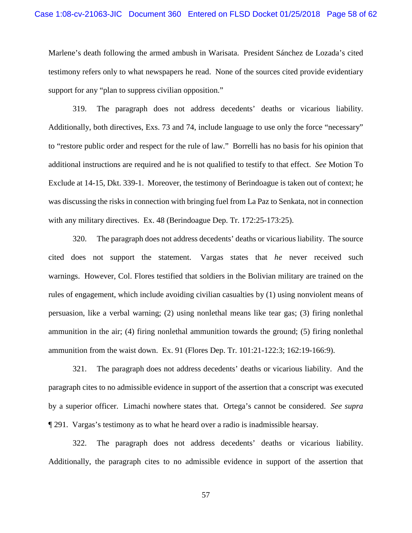Marlene's death following the armed ambush in Warisata. President Sánchez de Lozada's cited testimony refers only to what newspapers he read. None of the sources cited provide evidentiary support for any "plan to suppress civilian opposition."

319. The paragraph does not address decedents' deaths or vicarious liability. Additionally, both directives, Exs. 73 and 74, include language to use only the force "necessary" to "restore public order and respect for the rule of law." Borrelli has no basis for his opinion that additional instructions are required and he is not qualified to testify to that effect. *See* Motion To Exclude at 14-15, Dkt. 339-1. Moreover, the testimony of Berindoague is taken out of context; he was discussing the risks in connection with bringing fuel from La Paz to Senkata, not in connection with any military directives. Ex. 48 (Berindoague Dep. Tr. 172:25-173:25).

320. The paragraph does not address decedents' deaths or vicarious liability. The source cited does not support the statement. Vargas states that *he* never received such warnings. However, Col. Flores testified that soldiers in the Bolivian military are trained on the rules of engagement, which include avoiding civilian casualties by (1) using nonviolent means of persuasion, like a verbal warning; (2) using nonlethal means like tear gas; (3) firing nonlethal ammunition in the air; (4) firing nonlethal ammunition towards the ground; (5) firing nonlethal ammunition from the waist down. Ex. 91 (Flores Dep. Tr. 101:21-122:3; 162:19-166:9).

321. The paragraph does not address decedents' deaths or vicarious liability. And the paragraph cites to no admissible evidence in support of the assertion that a conscript was executed by a superior officer. Limachi nowhere states that. Ortega's cannot be considered. *See supra* ¶ 291. Vargas's testimony as to what he heard over a radio is inadmissible hearsay.

322. The paragraph does not address decedents' deaths or vicarious liability. Additionally, the paragraph cites to no admissible evidence in support of the assertion that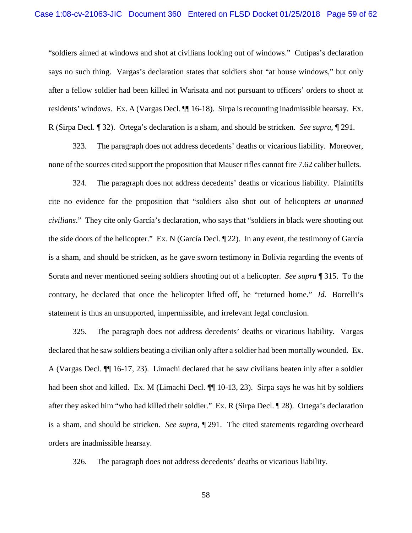"soldiers aimed at windows and shot at civilians looking out of windows." Cutipas's declaration says no such thing. Vargas's declaration states that soldiers shot "at house windows," but only after a fellow soldier had been killed in Warisata and not pursuant to officers' orders to shoot at residents' windows. Ex. A (Vargas Decl. ¶¶ 16-18). Sirpa is recounting inadmissible hearsay. Ex. R (Sirpa Decl. ¶ 32). Ortega's declaration is a sham, and should be stricken. *See supra*, ¶ 291.

323. The paragraph does not address decedents' deaths or vicarious liability. Moreover, none of the sources cited support the proposition that Mauser rifles cannot fire 7.62 caliber bullets.

324. The paragraph does not address decedents' deaths or vicarious liability. Plaintiffs cite no evidence for the proposition that "soldiers also shot out of helicopters *at unarmed civilians*." They cite only García's declaration, who says that "soldiers in black were shooting out the side doors of the helicopter." Ex. N (García Decl. ¶ 22). In any event, the testimony of García is a sham, and should be stricken, as he gave sworn testimony in Bolivia regarding the events of Sorata and never mentioned seeing soldiers shooting out of a helicopter. *See supra* ¶ 315. To the contrary, he declared that once the helicopter lifted off, he "returned home." *Id.* Borrelli's statement is thus an unsupported, impermissible, and irrelevant legal conclusion.

325. The paragraph does not address decedents' deaths or vicarious liability. Vargas declared that he saw soldiers beating a civilian only after a soldier had been mortally wounded. Ex. A (Vargas Decl. ¶¶ 16-17, 23). Limachi declared that he saw civilians beaten inly after a soldier had been shot and killed. Ex. M (Limachi Decl.  $\P$ [10-13, 23). Sirpa says he was hit by soldiers after they asked him "who had killed their soldier." Ex. R (Sirpa Decl. ¶ 28). Ortega's declaration is a sham, and should be stricken. *See supra*, ¶ 291. The cited statements regarding overheard orders are inadmissible hearsay.

326. The paragraph does not address decedents' deaths or vicarious liability.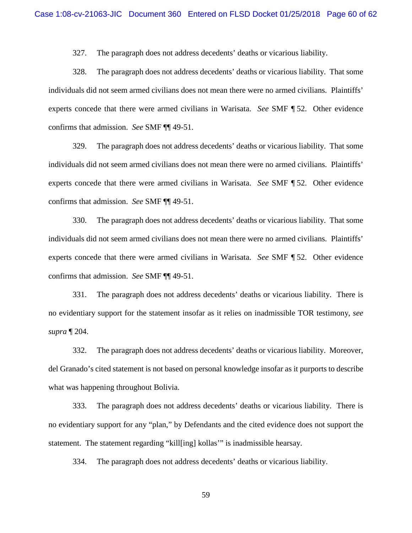327. The paragraph does not address decedents' deaths or vicarious liability.

328. The paragraph does not address decedents' deaths or vicarious liability. That some individuals did not seem armed civilians does not mean there were no armed civilians. Plaintiffs' experts concede that there were armed civilians in Warisata. *See* SMF ¶ 52. Other evidence confirms that admission. *See* SMF ¶¶ 49-51.

329. The paragraph does not address decedents' deaths or vicarious liability. That some individuals did not seem armed civilians does not mean there were no armed civilians. Plaintiffs' experts concede that there were armed civilians in Warisata. *See* SMF ¶ 52. Other evidence confirms that admission. *See* SMF ¶¶ 49-51.

330. The paragraph does not address decedents' deaths or vicarious liability. That some individuals did not seem armed civilians does not mean there were no armed civilians. Plaintiffs' experts concede that there were armed civilians in Warisata. *See* SMF ¶ 52. Other evidence confirms that admission. *See* SMF ¶¶ 49-51.

331. The paragraph does not address decedents' deaths or vicarious liability. There is no evidentiary support for the statement insofar as it relies on inadmissible TOR testimony, *see supra* ¶ 204.

332. The paragraph does not address decedents' deaths or vicarious liability. Moreover, del Granado's cited statement is not based on personal knowledge insofar as it purports to describe what was happening throughout Bolivia.

333. The paragraph does not address decedents' deaths or vicarious liability. There is no evidentiary support for any "plan," by Defendants and the cited evidence does not support the statement. The statement regarding "kill[ing] kollas'" is inadmissible hearsay.

334. The paragraph does not address decedents' deaths or vicarious liability.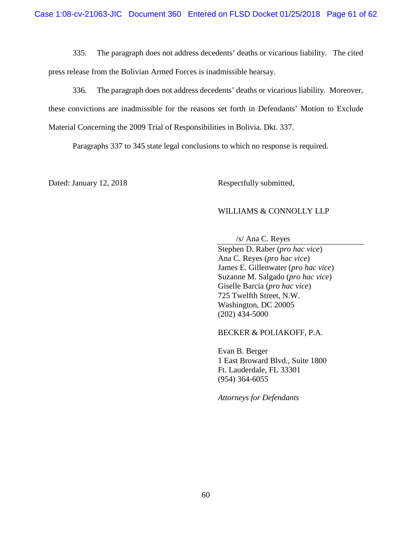335. The paragraph does not address decedents' deaths or vicarious liability. The cited press release from the Bolivian Armed Forces is inadmissible hearsay.

336. The paragraph does not address decedents' deaths or vicarious liability. Moreover, these convictions are inadmissible for the reasons set forth in Defendants' Motion to Exclude Material Concerning the 2009 Trial of Responsibilities in Bolivia. Dkt. 337.

Paragraphs 337 to 345 state legal conclusions to which no response is required.

Dated: January 12, 2018 Respectfully submitted,

# WILLIAMS & CONNOLLY LLP

/s/ Ana C. Reyes

Stephen D. Raber (*pro hac vice*) Ana C. Reyes (*pro hac vice*) James E. Gillenwater (*pro hac vice*) Suzanne M. Salgado (*pro hac vice*) Giselle Barcia (*pro hac vice*) 725 Twelfth Street, N.W. Washington, DC 20005 (202) 434-5000

BECKER & POLIAKOFF, P.A.

Evan B. Berger 1 East Broward Blvd., Suite 1800 Ft. Lauderdale, FL 33301 (954) 364-6055

*Attorneys for Defendants*